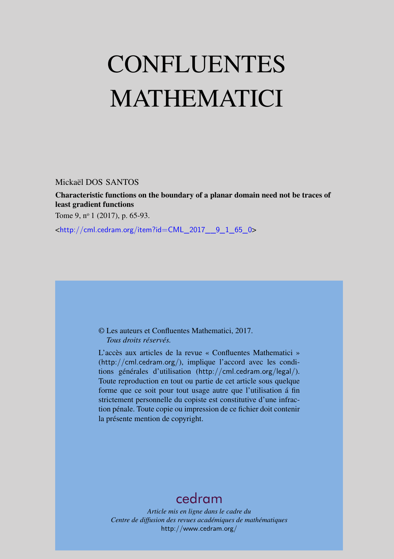# <span id="page-0-0"></span>CONFLUENTES MATHEMATICI

Mickaël DOS SANTOS

Characteristic functions on the boundary of a planar domain need not be traces of least gradient functions

Tome 9, nº 1 (2017), p. 65-93.

<[http://cml.cedram.org/item?id=CML\\_2017\\_\\_9\\_1\\_65\\_0](http://cml.cedram.org/item?id=CML_2017__9_1_65_0)>

© Les auteurs et Confluentes Mathematici, 2017. *Tous droits réservés.*

L'accès aux articles de la revue « Confluentes Mathematici » (<http://cml.cedram.org/>), implique l'accord avec les conditions générales d'utilisation (<http://cml.cedram.org/legal/>). Toute reproduction en tout ou partie de cet article sous quelque forme que ce soit pour tout usage autre que l'utilisation á fin strictement personnelle du copiste est constitutive d'une infraction pénale. Toute copie ou impression de ce fichier doit contenir la présente mention de copyright.

# [cedram](http://www.cedram.org/)

*Article mis en ligne dans le cadre du Centre de diffusion des revues académiques de mathématiques* <http://www.cedram.org/>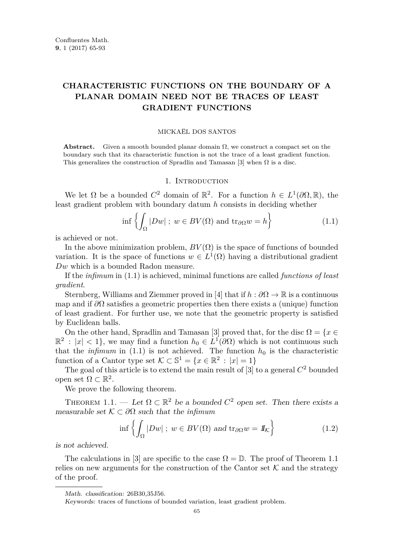# **CHARACTERISTIC FUNCTIONS ON THE BOUNDARY OF A PLANAR DOMAIN NEED NOT BE TRACES OF LEAST GRADIENT FUNCTIONS**

#### MICKAËL DOS SANTOS

**Abstract.** Given a smooth bounded planar domain  $\Omega$ , we construct a compact set on the boundary such that its characteristic function is not the trace of a least gradient function. This generalizes the construction of Spradlin and Tamasan [\[3\]](#page-29-0) when  $\Omega$  is a disc.

# 1. INTRODUCTION

We let  $\Omega$  be a bounded  $C^2$  domain of  $\mathbb{R}^2$ . For a function  $h \in L^1(\partial\Omega,\mathbb{R})$ , the least gradient problem with boundary datum *h* consists in deciding whether

<span id="page-1-0"></span>
$$
\inf \left\{ \int_{\Omega} |Dw| \; ; \; w \in BV(\Omega) \text{ and } \text{tr}_{\partial\Omega} w = h \right\} \tag{1.1}
$$

is achieved or not.

In the above minimization problem,  $BV(\Omega)$  is the space of functions of bounded variation. It is the space of functions  $w \in L^1(\Omega)$  having a distributional gradient *Dw* which is a bounded Radon measure.

If the *infimum* in [\(1.1\)](#page-1-0) is achieved, minimal functions are called *functions of least gradient*.

Sternberg, Williams and Ziemmer proved in [\[4\]](#page-29-1) that if  $h : \partial\Omega \to \mathbb{R}$  is a continuous map and if *∂*Ω satisfies a geometric properties then there exists a (unique) function of least gradient. For further use, we note that the geometric property is satisfied by Euclidean balls.

On the other hand, Spradlin and Tamasan [\[3\]](#page-29-0) proved that, for the disc  $\Omega = \{x \in \Omega\}$  $\mathbb{R}^2$  :  $|x| < 1$ , we may find a function  $h_0 \in L^1(\partial\Omega)$  which is not continuous such that the *infimum* in [\(1.1\)](#page-1-0) is not achieved. The function  $h_0$  is the characteristic function of a Cantor type set  $\mathcal{K} \subset \mathbb{S}^1 = \{x \in \mathbb{R}^2 : |x| = 1\}$ 

The goal of this article is to extend the main result of [\[3\]](#page-29-0) to a general *C* <sup>2</sup> bounded open set  $\Omega \subset \mathbb{R}^2$ .

We prove the following theorem.

<span id="page-1-1"></span>THEOREM 1.1. — Let  $\Omega \subset \mathbb{R}^2$  be a bounded  $C^2$  open set. Then there exists a measurable set K ⊂ *∂*Ω such that the *infimum*

<span id="page-1-2"></span>
$$
\inf \left\{ \int_{\Omega} |Dw| \; ; \; w \in BV(\Omega) \text{ and } \text{tr}_{\partial\Omega} w = I\!I_{\mathcal{K}} \right\} \tag{1.2}
$$

is not achieved.

The calculations in [\[3\]](#page-29-0) are specific to the case  $\Omega = \mathbb{D}$ . The proof of Theorem [1.1](#page-1-1) relies on new arguments for the construction of the Cantor set  $K$  and the strategy of the proof.

Math. classification: 26B30,35J56.

Keywords: traces of functions of bounded variation, least gradient problem.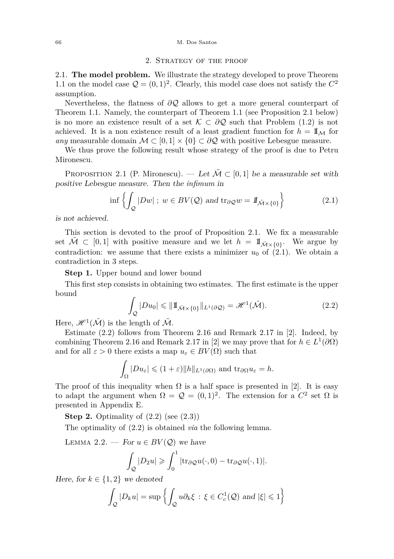#### 66 M. Dos Santos

## 2. Strategy of the proof

2.1. **The model problem.** We illustrate the strategy developed to prove Theorem [1.1](#page-1-1) on the model case  $\mathcal{Q} = (0, 1)^2$ . Clearly, this model case does not satisfy the  $C^2$ assumption.

Nevertheless, the flatness of *∂*Q allows to get a more general counterpart of Theorem [1.1.](#page-1-1) Namely, the counterpart of Theorem [1.1](#page-1-1) (see Proposition [2.1](#page-2-0) below) is no more an existence result of a set  $\mathcal{K} \subset \partial \mathcal{Q}$  such that Problem [\(1.2\)](#page-1-2) is not achieved. It is a non existence result of a least gradient function for  $h = \mathbb{I}_M$  for *any* measurable domain  $\mathcal{M} \subset [0,1] \times \{0\} \subset \partial \mathcal{Q}$  with positive Lebesgue measure.

We thus prove the following result whose strategy of the proof is due to Petru Mironescu.

<span id="page-2-0"></span>PROPOSITION 2.1 (P. Mironescu). — Let  $\mathcal{M} \subset [0,1]$  be a measurable set with positive Lebesgue measure. Then the *infimum* in

<span id="page-2-1"></span>
$$
\inf \left\{ \int_{\mathcal{Q}} |Dw| \; ; \; w \in BV(\mathcal{Q}) \text{ and } \text{tr}_{\partial \mathcal{Q}} w = 1 \! \! \! 1_{\tilde{\mathcal{M}} \times \{0\}} \right\} \tag{2.1}
$$

is not achieved.

This section is devoted to the proof of Proposition [2.1.](#page-2-0) We fix a measurable set  $\tilde{\mathcal{M}} \subset [0,1]$  with positive measure and we let  $h = \mathbb{I}_{\tilde{\mathcal{M}} \times \{0\}}$ . We argue by contradiction: we assume that there exists a minimizer  $u_0$  of  $(2.1)$ . We obtain a contradiction in 3 steps.

**Step 1.** Upper bound and lower bound

This first step consists in obtaining two estimates. The first estimate is the upper bound

<span id="page-2-2"></span>
$$
\int_{\mathcal{Q}} |Du_0| \leq \|1\!\!1_{\tilde{\mathcal{M}}\times\{0\}}\|_{L^1(\partial\mathcal{Q})} = \mathscr{H}^1(\tilde{\mathcal{M}}). \tag{2.2}
$$

Here,  $\mathscr{H}^1(\tilde{\mathcal{M}})$  is the length of  $\tilde{\mathcal{M}}$ .

Estimate [\(2.2\)](#page-2-2) follows from Theorem 2.16 and Remark 2.17 in [\[2\]](#page-29-2). Indeed, by combining Theorem 2.16 and Remark 2.17 in [\[2\]](#page-29-2) we may prove that for  $h \in L^1(\partial\Omega)$ and for all  $\varepsilon > 0$  there exists a map  $u_{\varepsilon} \in BV(\Omega)$  such that

$$
\int_{\Omega} |Du_{\varepsilon}| \leqslant (1+\varepsilon) ||h||_{L^{1}(\partial \Omega)} \text{ and } \text{tr}_{\partial \Omega} u_{\varepsilon} = h.
$$

The proof of this inequality when  $\Omega$  is a half space is presented in [\[2\]](#page-29-2). It is easy to adapt the argument when  $\Omega = \mathcal{Q} = (0,1)^2$ . The extension for a  $C^2$  set  $\Omega$  is presented in Appendix [E.](#page-27-0)

**Step 2.** Optimality of  $(2.2)$  (see  $(2.3)$ )

The optimality of [\(2.2\)](#page-2-2) is obtained *via* the following lemma.

<span id="page-2-3"></span>LEMMA 2.2. — For  $u \in BV(\mathcal{Q})$  we have

$$
\int_{Q} |D_2 u| \geqslant \int_0^1 |\text{tr}_{\partial Q} u(\cdot, 0) - \text{tr}_{\partial Q} u(\cdot, 1)|.
$$

Here, for  $k \in \{1,2\}$  we denoted

$$
\int_{\mathcal{Q}} |D_k u| = \sup \left\{ \int_{\mathcal{Q}} u \partial_k \xi \, : \, \xi \in C_c^1(\mathcal{Q}) \text{ and } |\xi| \leq 1 \right\}
$$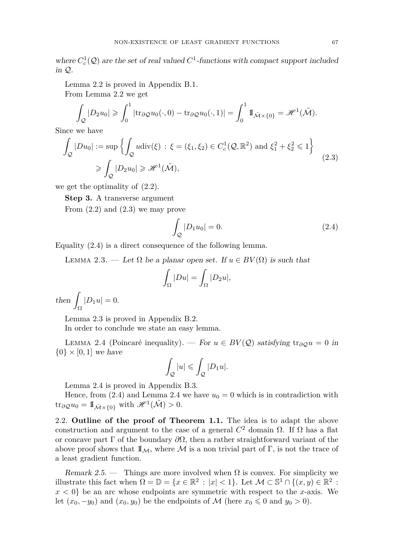Lemma [2.2](#page-2-3) is proved in Appendix [B.1.](#page-19-0) From Lemma [2.2](#page-2-3) we get

$$
\int_{\mathcal{Q}} |D_2 u_0| \geqslant \int_0^1 |\text{tr}_{\partial \mathcal{Q}} u_0(\cdot, 0) - \text{tr}_{\partial \mathcal{Q}} u_0(\cdot, 1)| = \int_0^1 \text{I} \mathbb{I}_{\tilde{\mathcal{M}} \times \{0\}} = \mathcal{H}^1(\tilde{\mathcal{M}}).
$$

Since we have

<span id="page-3-0"></span>
$$
\int_{\mathcal{Q}} |Du_0| := \sup \left\{ \int_{\mathcal{Q}} u \operatorname{div}(\xi) : \xi = (\xi_1, \xi_2) \in C_c^1(\mathcal{Q}, \mathbb{R}^2) \text{ and } \xi_1^2 + \xi_2^2 \le 1 \right\}
$$
\n
$$
\ge \int_{\mathcal{Q}} |D_2 u_0| \ge \mathcal{H}^1(\tilde{\mathcal{M}}),
$$
\n(2.3)

we get the optimality of [\(2.2\)](#page-2-2).

**Step 3.** A transverse argument

From  $(2.2)$  and  $(2.3)$  we may prove

<span id="page-3-1"></span>
$$
\int_{Q} |D_1 u_0| = 0. \tag{2.4}
$$

Equality [\(2.4\)](#page-3-1) is a direct consequence of the following lemma.

<span id="page-3-2"></span>LEMMA 2.3. — Let  $\Omega$  be a planar open set. If  $u \in BV(\Omega)$  is such that

$$
\int_{\Omega} |Du| = \int_{\Omega} |D_2 u|,
$$

 $then$  $|D_1 u| = 0.$ 

Lemma [2.3](#page-3-2) is proved in Appendix [B.2.](#page-19-1)

In order to conclude we state an easy lemma.

<span id="page-3-3"></span>LEMMA 2.4 (Poincaré inequality). — For  $u \in BV(\mathcal{Q})$  satisfying tr<sub>∂</sub> $\varphi u = 0$  in  $\{0\} \times [0,1]$  we have

$$
\int_{\mathcal{Q}}|u|\leqslant \int_{\mathcal{Q}}|D_1u|.
$$

Lemma [2.4](#page-3-3) is proved in Appendix [B.3.](#page-20-0)

Hence, from  $(2.4)$  and Lemma [2.4](#page-3-3) we have  $u_0 = 0$  which is in contradiction with  $\text{tr}_{\partial \mathcal{Q}} u_0 = \mathbb{I}_{\tilde{\mathcal{M}} \times \{0\}} \text{ with } \mathscr{H}^1(\tilde{\mathcal{M}}) > 0.$ 

2.2. **Outline of the proof of Theorem [1.1.](#page-1-1)** The idea is to adapt the above construction and argument to the case of a general *C* <sup>2</sup> domain Ω. If Ω has a flat or concave part  $\Gamma$  of the boundary  $\partial\Omega$ , then a rather straightforward variant of the above proof shows that  $\mathbb{I}_{M}$ , where M is a non trivial part of Γ, is not the trace of a least gradient function.

Remark 2.5. — Things are more involved when  $\Omega$  is convex. For simplicity we illustrate this fact when  $\Omega = \mathbb{D} = \{x \in \mathbb{R}^2 : |x| < 1\}$ . Let  $\mathcal{M} \subset \mathbb{S}^1 \cap \{(x, y) \in \mathbb{R}^2 :$  $x < 0$  be an arc whose endpoints are symmetric with respect to the *x*-axis. We let  $(x_0, -y_0)$  and  $(x_0, y_0)$  be the endpoints of M (here  $x_0 \leq 0$  and  $y_0 > 0$ ).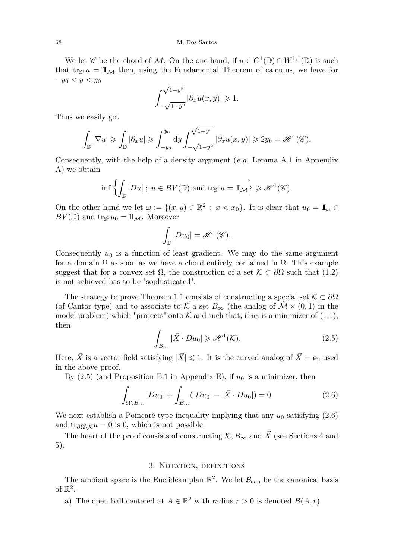We let  $\mathscr C$  be the chord of M. On the one hand, if  $u \in C^1(\mathbb{D}) \cap W^{1,1}(\mathbb{D})$  is such that  $\text{tr}_{\mathbb{S}^1} u = \mathbb{I}_{\mathcal{M}}$  then, using the Fundamental Theorem of calculus, we have for −*y*<sup>0</sup> *< y < y*<sup>0</sup> √

$$
\int_{-\sqrt{1-y^2}}^{\sqrt{1-y^2}} |\partial_x u(x,y)| \geqslant 1.
$$

Thus we easily get

$$
\int_{\mathbb{D}} |\nabla u| \geqslant \int_{\mathbb{D}} |\partial_x u| \geqslant \int_{-y_0}^{y_0} dy \int_{-\sqrt{1-y^2}}^{\sqrt{1-y^2}} |\partial_x u(x,y)| \geqslant 2y_0 = \mathscr{H}^1(\mathscr{C}).
$$

Consequently, with the help of a density argument (*e.g.* Lemma [A.1](#page-16-0) in Appendix [A\)](#page-16-1) we obtain

$$
\inf\left\{\int_{\mathbb{D}}|Du| \; ; \; u\in BV(\mathbb{D}) \text{ and } \operatorname{tr}_{\mathbb{S}^1} u=\mathbb{I}_{\mathcal{M}}\right\} \geqslant \mathscr{H}^1(\mathscr{C}).
$$

On the other hand we let  $\omega := \{(x, y) \in \mathbb{R}^2 : x < x_0\}$ . It is clear that  $u_0 = \mathbb{I}_{\omega} \in$  $BV(\mathbb{D})$  and  $\text{tr}_{\mathbb{S}^1}u_0=\mathbb{I}_{\mathcal{M}}$ . Moreover

$$
\int_{\mathbb{D}} |Du_0| = \mathscr{H}^1(\mathscr{C}).
$$

Consequently *u*<sup>0</sup> is a function of least gradient. We may do the same argument for a domain  $\Omega$  as soon as we have a chord entirely contained in  $\Omega$ . This example suggest that for a convex set  $\Omega$ , the construction of a set  $\mathcal{K} \subset \partial\Omega$  such that [\(1.2\)](#page-1-2) is not achieved has to be "sophisticated".

The strategy to prove Theorem [1.1](#page-1-1) consists of constructing a special set  $K \subset \partial\Omega$ (of Cantor type) and to associate to K a set  $B_{\infty}$  (the analog of  $\mathcal{M} \times (0,1)$  in the model problem) which "projects" onto  $K$  and such that, if  $u_0$  is a minimizer of [\(1.1\)](#page-1-0), then

<span id="page-4-0"></span>
$$
\int_{B_{\infty}} |\vec{X} \cdot Du_0| \geq \mathcal{H}^1(\mathcal{K}).\tag{2.5}
$$

Here,  $\vec{X}$  is a vector field satisfying  $|\vec{X}| \leq 1$ . It is the curved analog of  $\vec{X} = \mathbf{e}_2$  used in the above proof.

By  $(2.5)$  (and Proposition [E.1](#page-27-1) in Appendix [E\)](#page-27-0), if  $u_0$  is a minimizer, then

<span id="page-4-1"></span>
$$
\int_{\Omega \setminus B_{\infty}} |Du_0| + \int_{B_{\infty}} (|Du_0| - |\vec{X} \cdot Du_0|) = 0.
$$
\n(2.6)

We next establish a Poincaré type inequality implying that any  $u_0$  satisfying  $(2.6)$ and tr<sub> $\partial\Omega\setminus\mathcal{K}u=0$  is 0, which is not possible.</sub>

The heart of the proof consists of constructing  $K, B_{\infty}$  and  $\vec{X}$  (see Sections [4](#page-5-0) and [5\)](#page-8-0).

# 3. NOTATION, DEFINITIONS

<span id="page-4-2"></span>The ambient space is the Euclidean plan  $\mathbb{R}^2$ . We let  $\mathcal{B}_{\text{can}}$  be the canonical basis of  $\mathbb{R}^2$ .

a) The open ball centered at  $A \in \mathbb{R}^2$  with radius  $r > 0$  is denoted  $B(A, r)$ .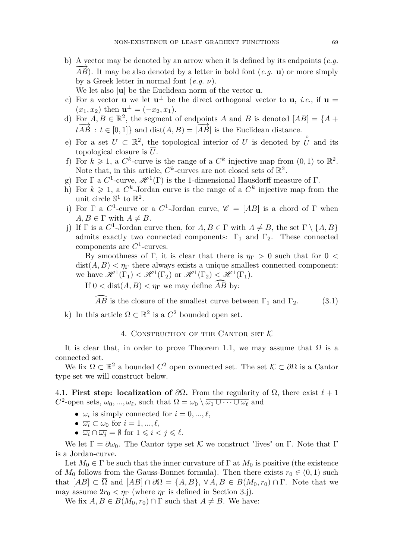- b) A vector may be denoted by an arrow when it is defined by its endpoints (*e.g.*  $\overrightarrow{AB}$ ). It may be also denoted by a letter in bold font (*e.g.* **u**) or more simply by a Greek letter in normal font (*e.g. ν*). We let also |**u**| be the Euclidean norm of the vector **u**.
- c) For a vector **u** we let  $\mathbf{u}^{\perp}$  be the direct orthogonal vector to **u**, *i.e.*, if  $\mathbf{u} =$  $(x_1, x_2)$  then  $\mathbf{u}^{\perp} = (-x_2, x_1)$ .
- d) For  $A, B \in \mathbb{R}^2$ , the segment of endpoints *A* and *B* is denoted  $[AB] = \{A +$  $\overline{tAB}$  :  $t \in [0,1]$ } and dist(*A, B*) =  $|\overline{AB}|$  is the Euclidean distance.
- e) For a set  $U \subset \mathbb{R}^2$ , the topological interior of *U* is denoted by  $\hat{U}$  and its topological closure is  $\overline{U}$ .
- f) For  $k \geq 1$ , a  $C^k$ -curve is the range of a  $C^k$  injective map from  $(0,1)$  to  $\mathbb{R}^2$ . Note that, in this article,  $C^k$ -curves are not closed sets of  $\mathbb{R}^2$ .
- g) For  $\Gamma$  a  $C^1$ -curve,  $\mathscr{H}^1(\Gamma)$  is the 1-dimensional Hausdorff measure of  $\Gamma$ .
- h) For  $k \geq 1$ , a  $C^k$ -Jordan curve is the range of a  $C^k$  injective map from the unit circle  $\mathbb{S}^1$  to  $\mathbb{R}^2$ .
- i) For  $\Gamma$  a  $C^1$ -curve or a  $C^1$ -Jordan curve,  $\mathscr{C} = [AB]$  is a chord of  $\Gamma$  when  $A, B \in \overline{\Gamma}$  with  $A \neq B$ .
- <span id="page-5-1"></span>j) If  $\Gamma$  is a  $C^1$ -Jordan curve then, for  $A, B \in \Gamma$  with  $A \neq B$ , the set  $\Gamma \setminus \{A, B\}$ admits exactly two connected components:  $\Gamma_1$  and  $\Gamma_2$ . These connected components are *C* 1 -curves.

By smoothness of  $\Gamma$ , it is clear that there is  $\eta_{\Gamma} > 0$  such that for 0 <  $dist(A, B) < \eta_{\Gamma}$  there always exists a unique smallest connected component: we have  $\mathscr{H}^1(\Gamma_1) < \mathscr{H}^1(\Gamma_2)$  or  $\mathscr{H}^1(\Gamma_2) < \mathscr{H}^1(\Gamma_1)$ .

If  $0 < \text{dist}(A, B) < \eta_{\Gamma}$  we may define  $\widehat{AB}$  by:

<span id="page-5-2"></span>*AB* is the closure of the smallest curve between  $\Gamma_1$  and  $\Gamma_2$ . (3.1)

k) In this article  $\Omega \subset \mathbb{R}^2$  is a  $C^2$  bounded open set.

# 4. CONSTRUCTION OF THE CANTOR SET  $K$

<span id="page-5-0"></span>It is clear that, in order to prove Theorem [1.1,](#page-1-1) we may assume that  $\Omega$  is a connected set.

We fix  $\Omega \subset \mathbb{R}^2$  a bounded  $C^2$  open connected set. The set  $\mathcal{K} \subset \partial\Omega$  is a Cantor type set we will construct below.

4.1. **First step: localization of**  $\partial \Omega$ . From the regularity of  $\Omega$ , there exist  $\ell + 1$ *C*<sup>2</sup>-open sets,  $\omega_0$ , ...,  $\omega_\ell$ , such that  $\Omega = \omega_0 \setminus \overline{\omega_1 \cup \cdots \cup \omega_\ell}$  and

- $\omega_i$  is simply connected for  $i = 0, ..., \ell$ ,
- $\overline{\omega_i} \subset \omega_0$  for  $i = 1, ..., \ell$ ,
- $\overline{\omega_i} \cap \overline{\omega_j} = \emptyset$  for  $1 \leq i < j \leq \ell$ .

We let  $\Gamma = \partial \omega_0$ . The Cantor type set K we construct "lives" on Γ. Note that Γ is a Jordan-curve.

Let  $M_0 \in \Gamma$  be such that the inner curvature of  $\Gamma$  at  $M_0$  is positive (the existence of  $M_0$  follows from the Gauss-Bonnet formula). Then there exists  $r_0 \in (0,1)$  such that  $[AB] \subset \overline{\Omega}$  and  $[AB] \cap \partial \Omega = \{A, B\}, \forall A, B \in B(M_0, r_0) \cap \Gamma$ . Note that we may assume  $2r_0 < \eta_{\Gamma}$  (where  $\eta_{\Gamma}$  is defined in Section [3](#page-4-2)[.j\)](#page-5-1).

We fix  $A, B \in B(M_0, r_0) \cap \Gamma$  such that  $A \neq B$ . We have: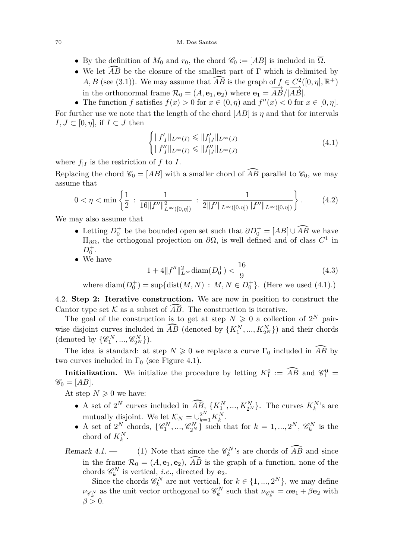- By the definition of  $M_0$  and  $r_0$ , the chord  $\mathcal{C}_0 := [AB]$  is included in  $\overline{\Omega}$ .
- We let  $\widehat{AB}$  be the closure of the smallest part of  $\Gamma$  which is delimited by *A, B* (see [\(3.1\)](#page-5-2)). We may assume that  $\widehat{AB}$  is the graph of  $f \in C^2([0, \eta], \mathbb{R}^+)$ in the orthonormal frame  $\mathcal{R}_0 = (A, \mathbf{e}_1, \mathbf{e}_2)$  where  $\mathbf{e}_1 = \overrightarrow{AB}/|\overrightarrow{AB}|$ .
- The function *f* satisfies  $f(x) > 0$  for  $x \in (0, \eta)$  and  $f''(x) < 0$  for  $x \in [0, \eta]$ . For further use we note that the length of the chord [*AB*] is *η* and that for intervals  $I, J \subset [0, \eta],$  if  $I \subset J$  then

<span id="page-6-0"></span>
$$
\begin{cases}\n||f'_{|I}||_{L^{\infty}(I)} \leq ||f'_{|J}||_{L^{\infty}(J)} \\
||f''_{|I}||_{L^{\infty}(I)} \leq ||f''_{|J}||_{L^{\infty}(J)}\n\end{cases} \tag{4.1}
$$

where  $f_{|I}$  is the restriction of  $f$  to  $I$ .

Replacing the chord  $\mathscr{C}_0 = [AB]$  with a smaller chord of  $\widehat{AB}$  parallel to  $\mathscr{C}_0$ , we may assume that

<span id="page-6-1"></span>
$$
0 < \eta < \min\left\{\frac{1}{2} : \frac{1}{16\|f''\|_{L^{\infty}([0,\eta])}^2} : \frac{1}{2\|f'\|_{L^{\infty}([0,\eta])}\|f''\|_{L^{\infty}([0,\eta])}}\right\}.
$$
 (4.2)

We may also assume that

- Letting  $D_0^+$  be the bounded open set such that  $\partial D_0^+ = [AB] \cup \widehat{AB}$  we have  $\Pi_{\partial\Omega}$ , the orthogonal projection on  $\partial\Omega$ , is well defined and of class  $C^1$  in  $D_0^+$ .
- We have

<span id="page-6-3"></span>
$$
1 + 4||f''||_{L^{\infty}}^2 \operatorname{diam}(D_0^+) < \frac{16}{9} \tag{4.3}
$$

where  $\text{diam}(D_0^+) = \sup \{ \text{dist}(M, N) : M, N \in D_0^+ \}.$  (Here we used [\(4.1\)](#page-6-0).)

<span id="page-6-4"></span>4.2. **Step 2: Iterative construction.** We are now in position to construct the Cantor type set  $K$  as a subset of  $AB$ . The construction is iterative.

The goal of the construction is to get at step  $N \geqslant 0$  a collection of  $2^N$  pairwise disjoint curves included in  $\widehat{AB}$  (denoted by  $\{K_1^N, ..., K_{2^N}^N\}$ ) and their chords (denoted by  $\{\mathscr{C}_{1}^{N}, ..., \mathscr{C}_{2^{N}}^{N}\}\)$ .

The idea is standard: at step  $N \geq 0$  we replace a curve  $\Gamma_0$  included in  $\overline{AB}$  by two curves included in  $\Gamma_0$  (see Figure [4.1\)](#page-7-0).

**Initialization.** We initialize the procedure by letting  $K_1^0 := \widehat{AB}$  and  $\mathscr{C}_1^0 =$  $\mathscr{C}_0 = [AB].$ 

At step  $N \geqslant 0$  we have:

- A set of  $2^N$  curves included in  $\widehat{AB}$ ,  $\{K_1^N, ..., K_{2^N}^N\}$ . The curves  $K_k^N$ 's are mutually disjoint. We let  $\mathcal{K}_N = \bigcup_{k=1}^{2^N} K_k^N$ .
- A set of  $2^N$  chords,  $\{\mathscr{C}_1^N, ..., \mathscr{C}_{2^N}^N\}$  such that for  $k = 1, ..., 2^N$ ,  $\mathscr{C}_k^N$  is the chord of  $K_k^N$ .

<span id="page-6-2"></span>Remark 4.1. – (1) Note that since the  $\mathcal{C}_k^N$ 's are chords of  $\widehat{AB}$  and since in the frame  $\mathcal{R}_0 = (A, \mathbf{e}_1, \mathbf{e}_2), \widehat{AB}$  is the graph of a function, none of the chords  $\mathscr{C}_k^N$  is vertical, *i.e.*, directed by **e**<sub>2</sub>.

Since the chords  $\mathscr{C}_k^N$  are not vertical, for  $k \in \{1, ..., 2^N\}$ , we may define  $\nu_{\mathscr{C}_k^N}$  as the unit vector orthogonal to  $\mathscr{C}_k^N$  such that  $\nu_{\mathscr{C}_k^N} = \alpha \mathbf{e}_1 + \beta \mathbf{e}_2$  with  $\beta > 0$ .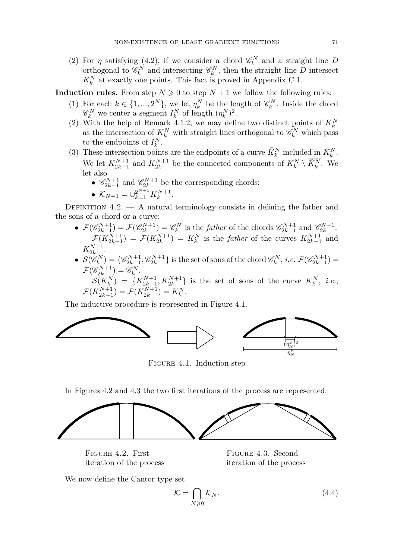(2) For  $\eta$  satisfying [\(4.2\)](#page-6-1), if we consider a chord  $\mathscr{C}_k^N$  and a straight line *D* orthogonal to  $\mathscr{C}_k^N$  and intersecting  $\mathscr{C}_k^N$ , then the straight line *D* intersect  $K_k^N$  at exactly one points. This fact is proved in Appendix [C.1.](#page-20-1)

**Induction rules.** From step  $N \geq 0$  to step  $N + 1$  we follow the following rules:

- (1) For each  $k \in \{1, ..., 2^N\}$ , we let  $\eta_k^N$  be the length of  $\mathscr{C}_k^N$ . Inside the chord  $\mathscr{C}_k^N$  we center a segment  $I_k^N$  of length  $(\eta_k^N)^2$ .
- (2) With the help of Remark [4.1.](#page-0-0)2, we may define two distinct points of  $K_k^N$ as the intersection of  $K_k^N$  with straight lines orthogonal to  $\mathscr{C}_k^N$  which pass to the endpoints of  $I_k^N$ .
- (3) These intersection points are the endpoints of a curve  $\tilde{K}_k^N$  included in  $K_k^N$ . We let  $K_{2k-1}^{N+1}$  and  $K_{2k}^{N+1}$  be the connected components of  $K_k^N \setminus \overline{K_k^N}$ . We let also
	- $\mathscr{C}_{2k-1}^{N+1}$  and  $\mathscr{C}_{2k}^{N+1}$  be the corresponding chords;
	- $\mathcal{K}_{N+1} = \cup_{k=1}^{2^{N+1}} K_k^{N+1}.$

<span id="page-7-3"></span>DEFINITION  $4.2.$  — A natural terminology consists in defining the father and the sons of a chord or a curve:

- $\mathcal{F}(\mathscr{C}_{2k-1}^{N+1}) = \mathcal{F}(\mathscr{C}_{2k}^{N+1}) = \mathscr{C}_k^N$  is the *father* of the chords  $\mathscr{C}_{2k-1}^{N+1}$  and  $\mathscr{C}_{2k}^{N+1}$ .  $\mathcal{F}(K_{2k-1}^{N+1}) = \mathcal{F}(K_{2k}^{N+1}) = K_k^N$  is the *father* of the curves  $K_{2k-1}^{N+1}$  and  $K_{2k}^{N+1}$  $\frac{2k+1}{2k}$ .
- $\mathcal{S}(\mathscr{C}_{k}^{N}) = \{\mathscr{C}_{2k-1}^{N+1}, \mathscr{C}_{2k}^{N+1}\}$  is the set of sons of the chord  $\mathscr{C}_{k}^{N}$ , *i.e.*  $\mathcal{F}(\mathscr{C}_{2k-1}^{N+1}) =$  $\mathcal{F}(\mathscr{C}_{2k}^{N+1}) = \mathscr{C}_k^N.$

 $S(K_k^N) = \{K_{2k-1}^{N+1}, K_{2k}^{N+1}\}\$ is the set of sons of the curve  $K_k^N$ , *i.e.*,  $\mathcal{F}(K_{2k-1}^{N+1}) = \mathcal{F}(K_{2k}^{N+1}) = K_k^N.$ 

The inductive procedure is represented in Figure [4.1.](#page-7-0)



<span id="page-7-0"></span>Figure 4.1. Induction step

In Figures [4.2](#page-7-1) and [4.3](#page-7-2) the two first iterations of the process are represented.



<span id="page-7-1"></span>FIGURE 4.2. First iteration of the process

<span id="page-7-2"></span>Figure 4.3. Second iteration of the process

We now define the Cantor type set

<span id="page-7-4"></span>
$$
\mathcal{K} = \bigcap_{N \geq 0} \overline{\mathcal{K}_N}.\tag{4.4}
$$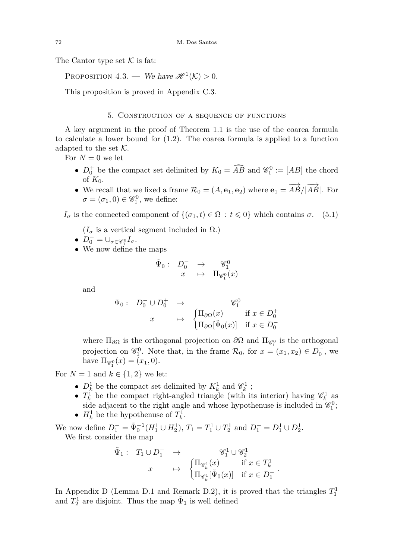The Cantor type set  $K$  is fat:

PROPOSITION 4.3. — We have  $\mathcal{H}^1(\mathcal{K}) > 0$ .

This proposition is proved in Appendix [C.3.](#page-23-0)

# 5. Construction of a sequence of functions

<span id="page-8-0"></span>A key argument in the proof of Theorem [1.1](#page-1-1) is the use of the coarea formula to calculate a lower bound for [\(1.2\)](#page-1-2). The coarea formula is applied to a function adapted to the set  $K$ .

For  $N=0$  we let

- $D_0^+$  be the compact set delimited by  $K_0 = \widehat{AB}$  and  $\mathscr{C}_1^0 := [AB]$  the chord of  $K_0$ .
- We recall that we fixed a frame  $\mathcal{R}_0 = (A, \mathbf{e}_1, \mathbf{e}_2)$  where  $\mathbf{e}_1 = \overrightarrow{AB}/|\overrightarrow{AB}|$ . For  $\sigma = (\sigma_1, 0) \in \mathscr{C}_1^0$ , we define:

<span id="page-8-1"></span>*I*<sup>σ</sup> is the connected component of {(*σ*<sub>1</sub>*, t*) ∈ Ω : *t* ≤ 0} which contains *σ*. (5.1)

 $(I_{\sigma}$  is a vertical segment included in  $\Omega$ .)

• 
$$
D_0^- = \bigcup_{\sigma \in \mathscr{C}_1^0} I_{\sigma}.
$$

•  $D_0^- = \bigcup_{\sigma \in \mathscr{C}_1^0} I_{\sigma}$ .<br>• We now define the maps

$$
\begin{array}{cccc}\n\tilde{\Psi}_0: & D_0^- & \to & \mathscr{C}_1^0 \\
x & \mapsto & \Pi_{\mathscr{C}_1^0}(x)\n\end{array}
$$

and

$$
\Psi_0: D_0^- \cup D_0^+ \rightarrow \begin{cases} \Pi_{\partial\Omega}(x) & \text{if } x \in D_0^+ \\ \Pi_{\partial\Omega}[\tilde{\Psi}_0(x)] & \text{if } x \in D_0^- \end{cases}
$$

where  $\Pi_{\partial\Omega}$  is the orthogonal projection on  $\partial\Omega$  and  $\Pi_{\mathscr{C}_1^0}$  is the orthogonal projection on  $\mathscr{C}_1^0$ . Note that, in the frame  $\mathcal{R}_0$ , for  $x = (x_1, x_2) \in D_0^-$ , we have  $\Pi_{\mathscr{C}_1^0}(x) = (x_1, 0).$ 

For  $N = 1$  and  $k \in \{1, 2\}$  we let:

- $D_k^1$  be the compact set delimited by  $K_k^1$  and  $\mathscr{C}_k^1$ ;
- $T_k^1$  be the compact right-angled triangle (with its interior) having  $\mathscr{C}_k^1$  as side adjacent to the right angle and whose hypothenuse is included in  $\mathcal{C}_1^0$ ;
- $H_k^1$  be the hypothenuse of  $T_k^1$ .

We now define  $D_1^- = \tilde{\Psi}_0^{-1}(H_1^1 \cup H_2^1), T_1 = T_1^1 \cup T_2^1$  and  $D_1^+ = D_1^1 \cup D_2^1$ . We first consider the map

$$
\begin{array}{cccc}\n\tilde{\Psi}_1: & T_1\cup D_1^- & \to & \mathscr{C}_1^1\cup\mathscr{C}_2^1 \\
x & \mapsto & \left\{\begin{matrix}\n\Pi_{\mathscr{C}_k^1}(x) & \text{if } x\in T_k^1 \\
\Pi_{\mathscr{C}_k^1}[\tilde{\Psi}_0(x)] & \text{if } x\in D_1^-\end{matrix}\right.\n\end{array}
$$

*.*

In Appendix [D](#page-25-0) (Lemma [D.1](#page-25-1) and Remark [D.2\)](#page-25-2), it is proved that the triangles  $T_1^1$ and  $T_2^1$  are disjoint. Thus the map  $\tilde{\Psi}_1$  is well defined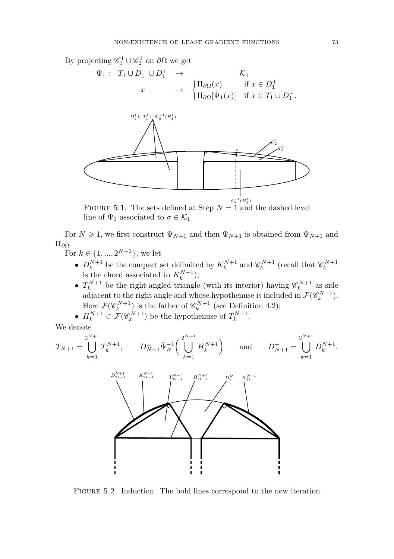By projecting  $\mathscr{C}_1^1 \cup \mathscr{C}_2^1$  on  $\partial \Omega$  we get





FIGURE 5.1. The sets defined at Step  $N = 1$  and the dashed level line of  $\Psi_1$  associated to  $\sigma \in \mathcal{K}_1$ 

For  $N \geq 1$ , we first construct  $\tilde{\Psi}_{N+1}$  and then  $\Psi_{N+1}$  is obtained from  $\tilde{\Psi}_{N+1}$  and Π*<sup>∂</sup>*Ω.

- For  $k \in \{1, ..., 2^{N+1}\},\$  we let
	- $D_k^{N+1}$  be the compact set delimited by  $K_k^{N+1}$  and  $\mathscr{C}_k^{N+1}$  (recall that  $\mathscr{C}_k^{N+1}$ is the chord associated to  $K_k^{N+1}$ ;
	- $T_k^{N+1}$  be the right-angled triangle (with its interior) having  $\mathscr{C}_k^{N+1}$  as side adjacent to the right angle and whose hypothenuse is included in  $\mathcal{F}(\mathscr{C}_k^{N+1})$ . Here  $\mathcal{F}(\mathscr{C}_k^{N+1})$  is the father of  $\mathscr{C}_k^{N+1}$  (see Definition [4.2\)](#page-7-3); .

• 
$$
H_k^{N+1} \subset \mathcal{F}(\mathscr{C}_k^{N+1})
$$
 be the hypothenuse of  $T_k^{N+1}$ 

We denote

$$
T_{N+1} = \bigcup_{k=1}^{2^{N+1}} T_k^{N+1}, \qquad D_{N+1}^{\equiv} \tilde{\Psi}_N^{-1} \bigg( \bigcup_{k=1}^{2^{N+1}} H_k^{N+1} \bigg) \qquad \text{and} \qquad D_{N+1}^+ = \bigcup_{k=1}^{2^{N+1}} D_k^{N+1}.
$$



Figure 5.2. Induction. The bold lines correspond to the new iteration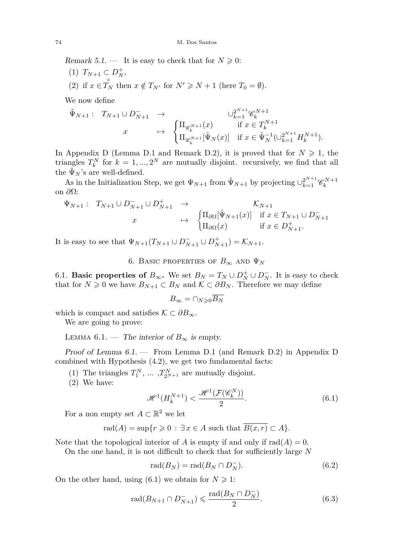Remark 5.1. — It is easy to check that for  $N \geqslant 0$ :

 $(T)$   $T_{N+1} \subset D_N^+$ , (2) if  $x \in \mathring{T}_N$  then  $x \notin T_{N'}$  for  $N' \geq N + 1$  (here  $T_0 = \emptyset$ ).

We now define

$$
\tilde{\Psi}_{N+1}: T_{N+1} \cup D_{N+1}^- \to \begin{cases}\n\Pi_{\mathscr{C}_{k}^{N+1}}(x) & \text{if } x \in T_k^{N+1} \\
\Pi_{\mathscr{C}_{k}^{N+1}}[\tilde{\Psi}_N(x)] & \text{if } x \in \tilde{\Psi}_N^{-1}(\cup_{k=1}^{2^{N+1}} H_k^{N+1}).\n\end{cases}
$$

In Appendix [D](#page-25-0) (Lemma [D.1](#page-25-1) and Remark [D.2\)](#page-25-2), it is proved that for  $N \geq 1$ , the triangles  $T_k^N$  for  $k = 1, ..., 2^N$  are mutually disjoint. recursively, we find that all the  $\tilde{\Psi}_N$ 's are well-defined.

As in the Initialization Step, we get  $\Psi_{N+1}$  from  $\tilde{\Psi}_{N+1}$  by projecting  $\cup_{k=1}^{2^{N+1}} \mathscr{C}_{k}^{N+1}$ on *∂*Ω:

$$
\Psi_{N+1}: T_{N+1} \cup D_{N+1}^- \cup D_{N+1}^+ \rightarrow \begin{cases} \Pi_{\partial\Omega}[\tilde{\Psi}_{N+1}(x)] & \text{if } x \in T_{N+1} \cup D_{N+1}^- \\ \Pi_{\partial\Omega}(x) & \text{if } x \in D_{N+1}^+.\end{cases}
$$

It is easy to see that  $\Psi_{N+1}(T_{N+1} \cup D_{N+1}^- \cup D_{N+1}^+) = \mathcal{K}_{N+1}$ .

6. BASIC PROPERTIES OF  $B_{\infty}$  and  $\Psi_N$ 

6.1. **Basic properties of**  $B_{\infty}$ . We set  $B_N = T_N \cup D_N^+ \cup D_N^-$ . It is easy to check that for  $N \geq 0$  we have  $B_{N+1} \subset B_N$  and  $\mathcal{K} \subset \partial B_N$ . Therefore we may define

$$
B_{\infty} = \cap_{N \geqslant 0} \overline{B_N}
$$

which is compact and satisfies  $\mathcal{K} \subset \partial B_{\infty}$ .

We are going to prove:

<span id="page-10-0"></span>LEMMA 6.1. — The interior of  $B_{\infty}$  is empty.

Proof of Lemma [6.1.](#page-10-0) — From Lemma [D.1](#page-25-1) (and Remark [D.2\)](#page-25-2) in Appendix [D](#page-25-0) combined with Hypothesis [\(4.2\)](#page-6-1), we get two fundamental facts:

(1) The triangles  $T_1^N$ , ... ,  $T_{2^{N+1}}^N$  are mutually disjoint.

(2) We have:

<span id="page-10-1"></span>
$$
\mathcal{H}^1(H_k^{N+1}) < \frac{\mathcal{H}^1(\mathcal{F}(\mathcal{C}_k^N))}{2}.\tag{6.1}
$$

For a non empty set  $A \subset \mathbb{R}^2$  we let

$$
rad(A) = \sup\{r \geq 0 : \exists x \in A \text{ such that } \overline{B(x,r)} \subset A\}.
$$

Note that the topological interior of *A* is empty if and only if  $rad(A) = 0$ .

On the one hand, it is not difficult to check that for sufficiently large *N*

<span id="page-10-2"></span>
$$
\operatorname{rad}(B_N) = \operatorname{rad}(B_N \cap D_N^-). \tag{6.2}
$$

On the other hand, using [\(6.1\)](#page-10-1) we obtain for  $N \geq 1$ :

<span id="page-10-3"></span>
$$
\text{rad}(B_{N+1} \cap D_{N+1}^-) \leqslant \frac{\text{rad}(B_N \cap D_N^-)}{2}.\tag{6.3}
$$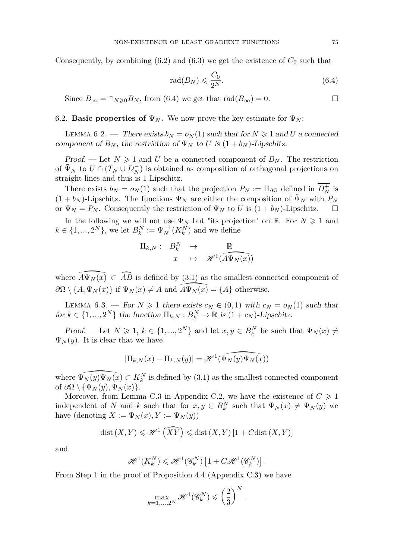Consequently, by combining  $(6.2)$  and  $(6.3)$  we get the existence of  $C_0$  such that

<span id="page-11-0"></span>
$$
\operatorname{rad}(B_N) \leqslant \frac{C_0}{2^N}.\tag{6.4}
$$

Since  $B_{\infty} = \bigcap_{N \geq 0} B_N$ , from [\(6.4\)](#page-11-0) we get that  $\text{rad}(B_{\infty}) = 0$ .

# 6.2. **Basic properties of**  $\Psi_N$ . We now prove the key estimate for  $\Psi_N$ :

<span id="page-11-1"></span>LEMMA 6.2. — There exists  $b_N = o_N(1)$  such that for  $N \geq 1$  and U a connected component of  $B_N$ , the restriction of  $\Psi_N$  to *U* is  $(1 + b_N)$ -Lipschitz.

*Proof.* — Let  $N \geq 1$  and U be a connected component of  $B_N$ . The restriction of  $\tilde{\Psi}_N$  to  $U \cap (T_N \cup D_N^-)$  is obtained as composition of orthogonal projections on straight lines and thus is 1-Lipschitz.

There exists  $b_N = o_N(1)$  such that the projection  $P_N := \Pi_{\partial\Omega}$  defined in  $D_N^+$  is  $(1 + b_N)$ -Lipschitz. The functions  $\Psi_N$  are either the composition of  $\tilde{\Psi}_N$  with  $P_N$ or  $\Psi_N = P_N$ . Consequently the restriction of  $\Psi_N$  to *U* is  $(1 + b_N)$ -Lipschitz.  $\Box$ 

In the following we will not use  $\Psi_N$  but "its projection" on R. For  $N \geq 1$  and  $k \in \{1, ..., 2^N\}$ , we let  $B_k^N := \Psi_N^{-1}(K_k^N)$  and we define

$$
\Pi_{k,N}:\begin{array}{ccc} B_k^N & \to & \mathbb{R} \\ x & \mapsto & \mathscr{H}^1(\widehat{A\Psi_N(x)}) \end{array}
$$

where  $\widehat{A\Psi_N(x)} \subset \widehat{AB}$  is defined by [\(3.1\)](#page-5-2) as the smallest connected component of  $\partial\Omega \setminus \{A, \Psi_N(x)\}\$ if  $\Psi_N(x) \neq A$  and  $\widehat{A}\Psi_N(\widehat{x)} = \{A\}$  otherwise.

<span id="page-11-2"></span>LEMMA 6.3. — For  $N \geq 1$  there exists  $c_N \in (0,1)$  with  $c_N = o_N(1)$  such that for  $k \in \{1, ..., 2^N\}$  the function  $\Pi_{k,N}: B_k^N \to \mathbb{R}$  is  $(1 + c_N)$ -Lipschitz.

Proof. — Let  $N \geq 1$ ,  $k \in \{1, ..., 2^N\}$  and let  $x, y \in B_k^N$  be such that  $\Psi_N(x) \neq$  $\Psi_N(y)$ . It is clear that we have

$$
|\Pi_{k,N}(x) - \Pi_{k,N}(y)| = \mathscr{H}^1(\widehat{\Psi_N(y)\Psi_N(x)})
$$

where  $\Psi_N(y)\Psi_N(x) \subset K_k^N$  is defined by [\(3.1\)](#page-5-2) as the smallest connected component of  $\partial\Omega \setminus {\Psi_N(y), \Psi_N(x)}$ .

Moreover, from Lemma [C.3](#page-21-0) in Appendix [C.2,](#page-21-1) we have the existence of  $C \geq 1$ independent of *N* and *k* such that for  $x, y \in B_k^N$  such that  $\Psi_N(x) \neq \Psi_N(y)$  we have (denoting  $X := \Psi_N(x), Y := \Psi_N(y)$ )

$$
dist(X, Y) \leqslant \mathcal{H}^1\left(\widehat{XY}\right) \leqslant dist(X, Y)\left[1 + Cdist(X, Y)\right]
$$

and

$$
\mathscr{H}^1(K_k^N) \leqslant \mathscr{H}^1(\mathscr{C}_k^N)\left[1+ C \mathscr{H}^1(\mathscr{C}_k^N)\right].
$$

From Step 1 in the proof of Proposition [4.4](#page-7-4) (Appendix [C.3\)](#page-23-0) we have

$$
\max_{k=1,\dots,2^N} \mathcal{H}^1(\mathscr{C}_k^N) \leqslant \left(\frac{2}{3}\right)^N.
$$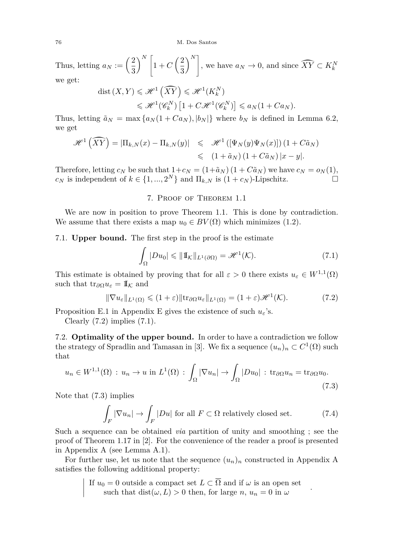76 M. Dos Santos

Thus, letting  $a_N := \left(\frac{2}{2}\right)$ 3  $\bigwedge^N$  $1 + C\left(\frac{2}{2}\right)$ 3  $\left\{ \sum_{k=1}^{N} \sigma_{k} \right\}$ , we have  $a_N \to 0$ , and since  $\widehat{XY} \subset K_k^N$ we get:

$$
\begin{aligned} \text{dist}\left(X,Y\right) &\leqslant \mathcal{H}^1\left(\widehat{XY}\right) \leqslant \mathcal{H}^1\left(K_k^N\right) \\ &\leqslant \mathcal{H}^1\!\left(\mathscr{C}_k^N\right)\left[1+C\mathcal{H}^1\!\left(\mathscr{C}_k^N\right)\right] \leqslant a_N\!\left(1+C a_N\right). \end{aligned}
$$

Thus, letting  $\tilde{a}_N = \max\{a_N(1 + Ca_N), |b_N|\}\$  where  $b_N$  is defined in Lemma [6.2,](#page-11-1) we get

$$
\mathscr{H}^1\left(\widehat{XY}\right) = |\Pi_{k,N}(x) - \Pi_{k,N}(y)| \leq \mathscr{H}^1\left(\left[\Psi_N(y)\Psi_N(x)\right]\right)(1 + C\tilde{a}_N)
$$
  

$$
\leq (1 + \tilde{a}_N)(1 + C\tilde{a}_N)|x - y|.
$$

Therefore, letting  $c_N$  be such that  $1+c_N = (1+\tilde{a}_N) (1+C\tilde{a}_N)$  we have  $c_N = o_N(1)$ , *c<sub>N</sub>* is independent of  $k \in \{1, ..., 2^N\}$  and  $\Pi_{k,N}$  is  $(1 + c_N)$ -Lipschitz.

# 7. Proof of Theorem [1.1](#page-1-1)

We are now in position to prove Theorem [1.1.](#page-1-1) This is done by contradiction. We assume that there exists a map  $u_0 \in BV(\Omega)$  which minimizes [\(1.2\)](#page-1-2).

# 7.1. **Upper bound.** The first step in the proof is the estimate

<span id="page-12-1"></span>
$$
\int_{\Omega} |Du_0| \leq \|1\|_{\mathcal{L}^1(\partial\Omega)} = \mathscr{H}^1(\mathcal{K}).\tag{7.1}
$$

This estimate is obtained by proving that for all  $\varepsilon > 0$  there exists  $u_{\varepsilon} \in W^{1,1}(\Omega)$ such that  $tr_{\partial\Omega}u_{\varepsilon}=\mathbb{I}_K$  and

<span id="page-12-0"></span>
$$
\|\nabla u_{\varepsilon}\|_{L^{1}(\Omega)} \leq (1+\varepsilon)\|\mathrm{tr}_{\partial\Omega}u_{\varepsilon}\|_{L^{1}(\Omega)} = (1+\varepsilon)\mathscr{H}^{1}(\mathcal{K}).\tag{7.2}
$$

Proposition [E.1](#page-27-1) in Appendix [E](#page-27-0) gives the existence of such  $u_{\varepsilon}$ 's.

Clearly  $(7.2)$  implies  $(7.1)$ .

7.2. **Optimality of the upper bound.** In order to have a contradiction we follow the strategy of Spradlin and Tamasan in [\[3\]](#page-29-0). We fix a sequence  $(u_n)_n \subset C^1(\Omega)$  such that

<span id="page-12-2"></span>
$$
u_n \in W^{1,1}(\Omega) : u_n \to u \text{ in } L^1(\Omega) : \int_{\Omega} |\nabla u_n| \to \int_{\Omega} |Du_0| : \text{tr}_{\partial\Omega} u_n = \text{tr}_{\partial\Omega} u_0.
$$
\n(7.3)

Note that [\(7.3\)](#page-12-2) implies

 $\overline{\phantom{a}}$ I  $\overline{\phantom{a}}$  $\overline{\phantom{a}}$ 

<span id="page-12-3"></span>
$$
\int_{F} |\nabla u_n| \to \int_{F} |Du| \text{ for all } F \subset \Omega \text{ relatively closed set.} \tag{7.4}
$$

*.*

Such a sequence can be obtained *via* partition of unity and smoothing ; see the proof of Theorem 1.17 in [\[2\]](#page-29-2). For the convenience of the reader a proof is presented in Appendix [A](#page-16-1) (see Lemma [A.1\)](#page-16-0).

For further use, let us note that the sequence  $(u_n)_n$  constructed in [A](#page-16-1)ppendix A satisfies the following additional property:

If 
$$
u_0 = 0
$$
 outside a compact set  $L \subset \overline{\Omega}$  and if  $\omega$  is an open set  
such that  $dist(\omega, L) > 0$  then, for large  $n, u_n = 0$  in  $\omega$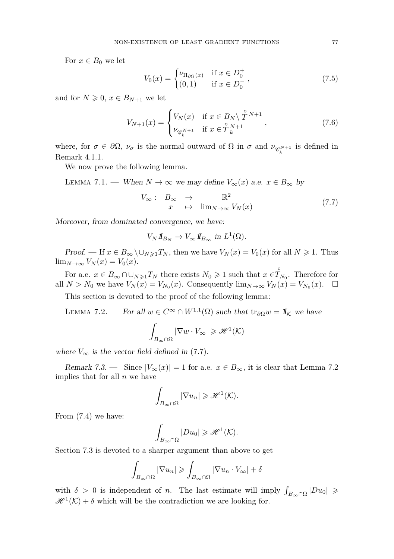For  $x \in B_0$  we let

<span id="page-13-2"></span>
$$
V_0(x) = \begin{cases} \nu_{\Pi_{\partial\Omega}(x)} & \text{if } x \in D_0^+ \\ (0,1) & \text{if } x \in D_0^- \end{cases},
$$
\n(7.5)

and for  $N \geqslant 0$ ,  $x \in B_{N+1}$  we let

<span id="page-13-3"></span>
$$
V_{N+1}(x) = \begin{cases} V_N(x) & \text{if } x \in B_N \setminus \mathring{T}^{N+1} \\ \nu_{\mathscr{C}_k^{N+1}} & \text{if } x \in \mathring{T}_k^{N+1} \end{cases},
$$
(7.6)

where, for  $\sigma \in \partial\Omega$ ,  $\nu_{\sigma}$  is the normal outward of  $\Omega$  in  $\sigma$  and  $\nu_{\mathscr{C}_k^{N+1}}$  is defined in Remark [4.1](#page-0-0)[.1.](#page-6-2)

We now prove the following lemma.

LEMMA 7.1. — When  $N \to \infty$  we may define  $V_{\infty}(x)$  a.e.  $x \in B_{\infty}$  by

<span id="page-13-0"></span>
$$
V_{\infty}: B_{\infty} \to \mathbb{R}^2
$$
  

$$
x \mapsto \lim_{N \to \infty} V_N(x)
$$
 (7.7)

Moreover, from dominated convergence, we have:

$$
V_N 1\!\!1_{B_N} \to V_\infty 1\!\!1_{B_\infty} \text{ in } L^1(\Omega).
$$

Proof. — If  $x \in B_{\infty} \setminus \cup_{N \geq 1} T_N$ , then we have  $V_N(x) = V_0(x)$  for all  $N \geq 1$ . Thus  $\lim_{N\to\infty}V_N(x)=V_0(x).$ 

For a.e.  $x \in B_{\infty} \cap \bigcup_{N \geq 1} T_N$  there exists  $N_0 \geq 1$  such that  $x \in \overset{\circ}{T}_{N_0}$ . Therefore for all  $N > N_0$  we have  $V_N(x) = V_{N_0}(x)$ . Consequently  $\lim_{N \to \infty} V_N(x) = V_{N_0}(x)$ .  $\Box$ 

This section is devoted to the proof of the following lemma:

<span id="page-13-1"></span>LEMMA 7.2. — For all  $w \in C^{\infty} \cap W^{1,1}(\Omega)$  such that  $\text{tr}_{\partial \Omega} w = \mathbb{I}_{\mathcal{K}}$  we have  $\int$   $|\nabla w \cdot V_\infty| \geq \mathcal{H}^1(\mathcal{K})$ 

$$
\int_{B_{\infty}\cap\Omega} |\nabla w \cdot V_{\infty}| \geqslant \mathcal{H}^{1}(\mathcal{K})
$$

where  $V_{\infty}$  is the vector field defined in [\(7.7\)](#page-13-0).

Remark 7.3. — Since  $|V_\infty(x)| = 1$  for a.e.  $x \in B_\infty$ , it is clear that Lemma [7.2](#page-13-1) implies that for all *n* we have

$$
\int_{B_{\infty}\cap\Omega}|\nabla u_{n}|\geqslant\mathscr{H}^{1}(\mathcal{K}).
$$

From [\(7.4\)](#page-12-3) we have:

$$
\int_{B_{\infty}\cap\Omega} |Du_0| \geqslant \mathcal{H}^1(\mathcal{K}).
$$

Section [7.3](#page-15-0) is devoted to a sharper argument than above to get

$$
\int_{B_{\infty}\cap\Omega} |\nabla u_{n}| \geqslant \int_{B_{\infty}\cap\Omega} |\nabla u_{n} \cdot V_{\infty}| + \delta
$$

with  $\delta > 0$  is independent of *n*. The last estimate will imply  $\int_{B_{\infty} \cap \Omega} |Du_0| \ge$  $\mathscr{H}^1(\mathcal{K}) + \delta$  which will be the contradiction we are looking for.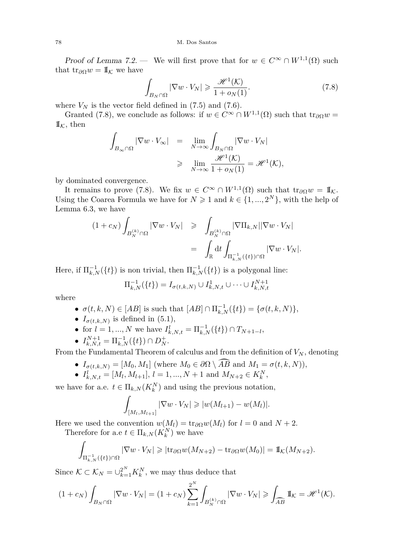Proof of Lemma [7.2.](#page-13-1) — We will first prove that for  $w \in C^{\infty} \cap W^{1,1}(\Omega)$  such that tr<sub>∂Ω</sub> $w = \mathbb{I}<sub>K</sub>$  we have

<span id="page-14-0"></span>
$$
\int_{B_N \cap \Omega} |\nabla w \cdot V_N| \geq \frac{\mathcal{H}^1(\mathcal{K})}{1 + o_N(1)}.
$$
\n(7.8)

where  $V_N$  is the vector field defined in  $(7.5)$  and  $(7.6)$ .

Granted [\(7.8\)](#page-14-0), we conclude as follows: if  $w \in C^{\infty} \cap W^{1,1}(\Omega)$  such that  $\text{tr}_{\partial\Omega}w =$  $\mathbb{I}_{\mathcal{K}}$ , then

$$
\int_{B_{\infty} \cap \Omega} |\nabla w \cdot V_{\infty}| = \lim_{N \to \infty} \int_{B_{N} \cap \Omega} |\nabla w \cdot V_{N}|
$$
  
\n
$$
\geq \lim_{N \to \infty} \frac{\mathcal{H}^{1}(\mathcal{K})}{1 + o_{N}(1)} = \mathcal{H}^{1}(\mathcal{K}),
$$

by dominated convergence.

It remains to prove [\(7.8\)](#page-14-0). We fix  $w \in C^{\infty} \cap W^{1,1}(\Omega)$  such that  $tr_{\partial\Omega}w = \mathbb{I}_{\mathcal{K}}$ . Using the Coarea Formula we have for  $N \geq 1$  and  $k \in \{1, ..., 2^N\}$ , with the help of Lemma [6.3,](#page-11-2) we have

$$
(1 + c_N) \int_{B_N^{(k)} \cap \Omega} |\nabla w \cdot V_N| \ge \int_{B_N^{(k)} \cap \Omega} |\nabla \Pi_{k,N}| |\nabla w \cdot V_N|
$$
  

$$
= \int_{\mathbb{R}} dt \int_{\Pi_{k,N}^{-1}(\{t\}) \cap \Omega} |\nabla w \cdot V_N|.
$$

Here, if  $\Pi_{k,N}^{-1}(\{t\})$  is non trivial, then  $\Pi_{k,N}^{-1}(\{t\})$  is a polygonal line:

$$
\Pi_{k,N}^{-1}(\{t\}) = I_{\sigma(t,k,N)} \cup I_{k,N,t}^1 \cup \cdots \cup I_{k,N,t}^{N+1}
$$

where

- *σ*(*t*, *k*, *N*) ∈ [*AB*] is such that  $[AB] ∩ \Pi_{k,N}^{-1}({t}) = {\sigma(t, k, N)}$ ,
- $I_{\sigma(t,k,N)}$  is defined in [\(5.1\)](#page-8-1),
- for  $l = 1, ..., N$  we have  $I_{k,N,t}^l = \prod_{k,N}^{-1} (\{t\}) \cap T_{N+1-l}$ ,

• 
$$
I_{k,N,t}^{N+1} = \Pi_{k,N}^{-1}(\{t\}) \cap D_N^+
$$
.

From the Fundamental Theorem of calculus and from the definition of  $V_N$ , denoting

- $I_{\sigma(t,k,N)} = [M_0, M_1]$  (where  $M_0 \in \partial\Omega \setminus \widehat{AB}$  and  $M_1 = \sigma(t, k, N)$ ),
- $I_{k,N,t}^l = [M_l, M_{l+1}], l = 1, ..., N+1$  and  $M_{N+2} \in K_k^N$ ,

we have for a.e.  $t \in \Pi_{k,N}(K_k^N)$  and using the previous notation,

$$
\int_{[M_l, M_{l+1}]} |\nabla w \cdot V_N| \geqslant |w(M_{l+1}) - w(M_l)|.
$$

Here we used the convention  $w(M_l) = \text{tr}_{\partial \Omega} w(M_l)$  for  $l = 0$  and  $N + 2$ .

Therefore for a.e  $t \in \Pi_{k,N}(K_k^N)$  we have

$$
\int_{\Pi_{k,N}^{-1}(\{t\})\cap\Omega} |\nabla w \cdot V_N| \geqslant |\text{tr}_{\partial\Omega} w(M_{N+2}) - \text{tr}_{\partial\Omega} w(M_0)| = 1\!\!1_{\mathcal{K}}(M_{N+2}).
$$

Since  $K \subset \mathcal{K}_N = \bigcup_{k=1}^{2^N} K_k^N$ , we may thus deduce that

$$
(1+c_N)\int_{B_N\cap\Omega}|\nabla w\cdot V_N|=(1+c_N)\sum_{k=1}^{2^N}\int_{B_N^{(k)}\cap\Omega}|\nabla w\cdot V_N|\geqslant \int_{\widehat{AB}}1\!\!1_K=\mathscr{H}^1(\mathcal{K}).
$$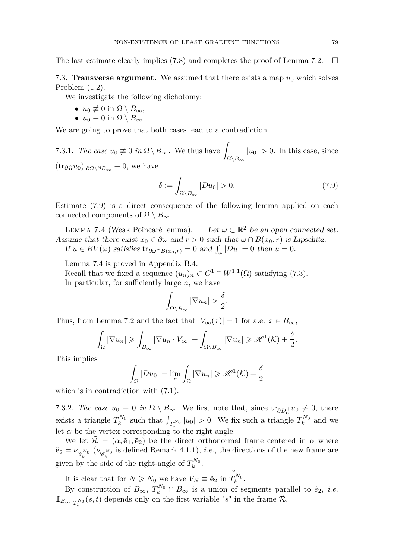The last estimate clearly implies [\(7.8\)](#page-14-0) and completes the proof of Lemma [7.2.](#page-13-1)  $\square$ 

<span id="page-15-0"></span>7.3. **Transverse argument.** We assumed that there exists a map  $u_0$  which solves Problem [\(1.2\)](#page-1-2).

We investigate the following dichotomy:

- $u_0 \not\equiv 0$  in  $\Omega \setminus B_\infty$ ;
- $u_0 \equiv 0$  in  $\Omega \setminus B_\infty$ .

We are going to prove that both cases lead to a contradiction.

7.3.1. *The case*  $u_0 \neq 0$  *in*  $\Omega \setminus B_\infty$ . We thus have Ω\*B*<sup>∞</sup>  $|u_0| > 0$ . In this case, since  $(\text{tr}_{\partial\Omega}u_0)_{|\partial\Omega\setminus\partial B_{\infty}}\equiv 0$ , we have

<span id="page-15-1"></span>
$$
\delta := \int_{\Omega \setminus B_{\infty}} |Du_0| > 0. \tag{7.9}
$$

Estimate [\(7.9\)](#page-15-1) is a direct consequence of the following lemma applied on each connected components of  $\Omega \setminus B_{\infty}$ .

<span id="page-15-2"></span>LEMMA 7.4 (Weak Poincaré lemma). — Let  $\omega \subset \mathbb{R}^2$  be an open connected set. Assume that there exist  $x_0 \in \partial \omega$  and  $r > 0$  such that  $\omega \cap B(x_0, r)$  is Lipschitz. If  $u \in BV(\omega)$  satisfies  $\text{tr}_{\partial \omega \cap B(x_0,r)} = 0$  and  $\int_{\omega} |Du| = 0$  then  $u = 0$ .

Lemma [7.4](#page-15-2) is proved in Appendix [B.4.](#page-20-2)

Recall that we fixed a sequence  $(u_n)_n \subset C^1 \cap W^{1,1}(\Omega)$  satisfying [\(7.3\)](#page-12-2). In particular, for sufficiently large *n*, we have

$$
\int_{\Omega\setminus B_{\infty}}|\nabla u_n|>\frac{\delta}{2}.
$$

Thus, from Lemma [7.2](#page-13-1) and the fact that  $|V_\infty(x)| = 1$  for a.e.  $x \in B_\infty$ ,

$$
\int_{\Omega} |\nabla u_n| \geqslant \int_{B_{\infty}} |\nabla u_n \cdot V_{\infty}| + \int_{\Omega \setminus B_{\infty}} |\nabla u_n| \geqslant \mathcal{H}^1(\mathcal{K}) + \frac{\delta}{2}.
$$

This implies

$$
\int_{\Omega} |Du_0| = \lim_{n} \int_{\Omega} |\nabla u_n| \geq \mathcal{H}^1(\mathcal{K}) + \frac{\delta}{2}
$$

which is in contradiction with  $(7.1)$ .

7.3.2. *The case*  $u_0 \equiv 0$  *in*  $\Omega \setminus B_\infty$ . We first note that, since  $\text{tr}_{\partial D_0^+} u_0 \not\equiv 0$ , there exists a triangle  $T_k^{N_0}$  such that  $\int_{T_k^{N_0}} |u_0| > 0$ . We fix such a triangle  $T_k^{N_0}$  and we let  $\alpha$  be the vertex corresponding to the right angle.

We let  $\mathcal{R} = (\alpha, \tilde{\mathbf{e}}_1, \tilde{\mathbf{e}}_2)$  be the direct orthonormal frame centered in  $\alpha$  where  $\tilde{\mathbf{e}}_2 = \nu_{\mathscr{C}_k^{N_0}}\ (\nu_{\mathscr{C}_k^{N_0}} \text{ is defined Remark 4.1.1}), i.e., \text{the directions of the new frame are}$  $\tilde{\mathbf{e}}_2 = \nu_{\mathscr{C}_k^{N_0}}\ (\nu_{\mathscr{C}_k^{N_0}} \text{ is defined Remark 4.1.1}), i.e., \text{the directions of the new frame are}$  $\tilde{\mathbf{e}}_2 = \nu_{\mathscr{C}_k^{N_0}}\ (\nu_{\mathscr{C}_k^{N_0}} \text{ is defined Remark 4.1.1}), i.e., \text{the directions of the new frame are}$ given by the side of the right-angle of  $T_k^{N_0}$ .

It is clear that for  $N \ge N_0$  we have  $V_N \equiv \tilde{e}_2$  in  $T_i$  $T_k^{N_0}$ .

By construction of  $B_{\infty}$ ,  $T_k^{N_0} \cap B_{\infty}$  is a union of segments parallel to  $\tilde{e}_2$ , *i.e.*  $\mathbb{1}_{B_{\infty}|T_k^{N_0}}(s,t)$  depends only on the first variable "*s*" in the frame  $\tilde{\mathcal{R}}$ . *k*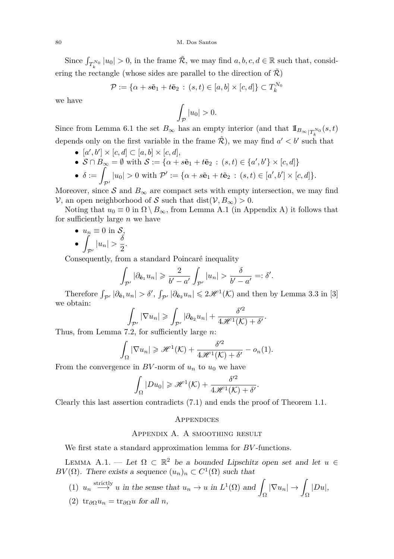Since  $\int_{T_k^{N_0}} |u_0| > 0$ , in the frame  $\tilde{\mathcal{R}}$ , we may find  $a, b, c, d \in \mathbb{R}$  such that, considering the rectangle (whose sides are parallel to the direction of  $\mathcal{R}$ )

$$
\mathcal{P} := \{ \alpha + s\tilde{\mathbf{e}}_1 + t\tilde{\mathbf{e}}_2 \, : \, (s,t) \in [a,b] \times [c,d] \} \subset T_k^{N_0}
$$

we have

$$
\int_{\mathcal{P}}|u_0|>0.
$$

Since from Lemma [6.1](#page-10-0) the set  $B_{\infty}$  has an empty interior (and that  $\mathbb{I}_{B_{\infty}|T_k^{N_0}}(s,t)$ depends only on the first variable in the frame  $\tilde{\mathcal{R}}$ ), we may find  $a' < b'$  such that

- $[a', b'] \times [c, d] \subset [a, b] \times [c, d],$
- $S \cap B_{\infty} = \emptyset$  with  $S := \{ \alpha + s\tilde{\mathbf{e}}_1 + t\tilde{\mathbf{e}}_2 : (s, t) \in \{a', b'\} \times [c, d] \}$
- $\bullet$   $\delta :=$  $\mathcal{P}_{p}$  |u<sub>0</sub>| > 0 with  $\mathcal{P}' := {\alpha + s\tilde{\mathbf{e}}_1 + t\tilde{\mathbf{e}}_2 : (s,t) \in [a',b'] \times [c,d]}$ .

Moreover, since S and  $B_{\infty}$  are compact sets with empty intersection, we may find  $V$ , an open neighborhood of S such that dist( $V, B_{\infty}$ ) > 0.

Noting that  $u_0 \equiv 0$  in  $\Omega \setminus B_{\infty}$ , from Lemma [A.1](#page-16-0) (in Appendix [A\)](#page-16-1) it follows that for sufficiently large *n* we have

•  $u_n \equiv 0$  in S. • 1  $\int_{\mathcal{P}'} |u_n| > \frac{\delta}{2}$  $\frac{3}{2}$ .

Consequently, from a standard Poincaré inequality

$$
\int_{\mathcal{P}'} |\partial_{\tilde{\mathbf{e}}_1} u_n| \geqslant \frac{2}{b'-a'} \int_{\mathcal{P}'} |u_n| > \frac{\delta}{b'-a'} =: \delta'.
$$

Therefore  $\int_{\mathcal{P}'} |\partial_{\tilde{\mathbf{e}}_1} u_n| > \delta', \int_{\mathcal{P}'} |\partial_{\tilde{\mathbf{e}}_2} u_n| \leq 2\mathcal{H}^1(\mathcal{K})$  and then by Lemma 3.3 in [\[3\]](#page-29-0) we obtain:

$$
\int_{\mathcal{P}'} |\nabla u_n| \geqslant \int_{\mathcal{P}'} |\partial_{\tilde{\mathbf{e}}_2} u_n| + \frac{\delta'^2}{4\mathscr{H}^1(\mathcal{K}) + \delta'}.
$$

Thus, from Lemma [7.2,](#page-13-1) for sufficiently large *n*:

$$
\int_{\Omega} |\nabla u_n| \geqslant \mathcal{H}^1(\mathcal{K}) + \frac{\delta^{\prime 2}}{4\mathcal{H}^1(\mathcal{K}) + \delta^{\prime}} - o_n(1).
$$

From the convergence in  $BV$ -norm of  $u_n$  to  $u_0$  we have

$$
\int_{\Omega} |Du_0| \geqslant \mathcal{H}^1(\mathcal{K}) + \frac{\delta'^2}{4\mathcal{H}^1(\mathcal{K}) + \delta'}.
$$

Clearly this last assertion contradicts [\(7.1\)](#page-12-1) and ends the proof of Theorem [1.1.](#page-1-1)

## **APPENDICES**

# Appendix A. A smoothing result

<span id="page-16-1"></span>We first state a standard approximation lemma for *BV* -functions.

<span id="page-16-0"></span>LEMMA A.1. — Let  $\Omega \subset \mathbb{R}^2$  be a bounded Lipschitz open set and let  $u \in$  $BV(\Omega)$ . There exists a sequence  $(u_n)_n \subset C^1(\Omega)$  such that

- (1)  $u_n \stackrel{\text{strictly}}{\longrightarrow} u$  in the sense that  $u_n \to u$  in  $L^1(\Omega)$  and  $\int_{\Omega}|\nabla u_n| \rightarrow \int_{\Omega}$ |*Du*|,
- (2)  $tr_{\partial\Omega}u_n = tr_{\partial\Omega}u$  for all *n*,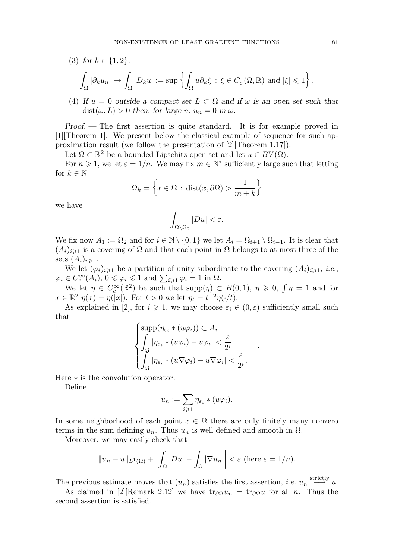(3) for  $k \in \{1, 2\}$ ,

$$
\int_{\Omega} |\partial_k u_n| \to \int_{\Omega} |D_k u| := \sup \left\{ \int_{\Omega} u \partial_k \xi \, : \, \xi \in C^1_c(\Omega, \mathbb{R}) \text{ and } |\xi| \leqslant 1 \right\},\,
$$

(4) If  $u = 0$  outside a compact set  $L \subset \overline{\Omega}$  and if  $\omega$  is an open set such that  $dist(\omega, L) > 0$  then, for large *n*,  $u_n = 0$  in  $\omega$ .

Proof. — The first assertion is quite standard. It is for example proved in [\[1\]](#page-29-3)[Theorem 1]. We present below the classical example of sequence for such approximation result (we follow the presentation of [\[2\]](#page-29-2)[Theorem 1.17]).

Let  $\Omega \subset \mathbb{R}^2$  be a bounded Lipschitz open set and let  $u \in BV(\Omega)$ .

For  $n \geq 1$ , we let  $\varepsilon = 1/n$ . We may fix  $m \in \mathbb{N}^*$  sufficiently large such that letting for  $k \in \mathbb{N}$ 

$$
\Omega_k = \left\{ x \in \Omega \, : \, \text{dist}(x, \partial \Omega) > \frac{1}{m+k} \right\}
$$

we have

$$
\int_{\Omega\setminus\Omega_0}|Du|<\varepsilon.
$$

We fix now  $A_1 := \Omega_2$  and for  $i \in \mathbb{N} \setminus \{0,1\}$  we let  $A_i = \Omega_{i+1} \setminus \overline{\Omega_{i-1}}$ . It is clear that  $(A_i)_{i\geq 1}$  is a covering of  $\Omega$  and that each point in  $\Omega$  belongs to at most three of the sets  $(A_i)_{i \geq 1}$ .

We let  $(\varphi_i)_{i\geqslant1}$  be a partition of unity subordinate to the covering  $(A_i)_{i\geqslant1}$ , *i.e.*,  $\varphi_i \in C_c^{\infty}(A_i)$ ,  $0 \le \varphi_i \le 1$  and  $\sum_{i \ge 1} \varphi_i = 1$  in  $\Omega$ .

We let  $\eta \in C_c^{\infty}(\mathbb{R}^2)$  be such that  $\text{supp}(\eta) \subset B(0,1)$ ,  $\eta \geq 0$ ,  $\int \eta = 1$  and for  $x \in \mathbb{R}^2$   $\eta(x) = \eta(|x|)$ . For  $t > 0$  we let  $\eta_t = t^{-2}\eta(\cdot/t)$ .

As explained in [\[2\]](#page-29-2), for  $i \geq 1$ , we may choose  $\varepsilon_i \in (0, \varepsilon)$  sufficiently small such that

$$
\begin{cases} \sup p(\eta_{\varepsilon_i} * (u\varphi_i)) \subset A_i \\ \int_{\Omega} |\eta_{\varepsilon_i} * (u\varphi_i) - u\varphi_i| < \frac{\varepsilon}{2^i} \\ \int_{\Omega} |\eta_{\varepsilon_i} * (u\nabla\varphi_i) - u\nabla\varphi_i| < \frac{\varepsilon}{2^i} .\end{cases}
$$

*.*

Here ∗ is the convolution operator.

Define

$$
u_n := \sum_{i \geq 1} \eta_{\varepsilon_i} * (u\varphi_i).
$$

In some neighborhood of each point  $x \in \Omega$  there are only finitely many nonzero terms in the sum defining  $u_n$ . Thus  $u_n$  is well defined and smooth in Ω.

Moreover, we may easily check that

$$
||u_n - u||_{L^1(\Omega)} + \left| \int_{\Omega} |Du| - \int_{\Omega} |\nabla u_n| \right| < \varepsilon \text{ (here } \varepsilon = 1/n).
$$

The previous estimate proves that  $(u_n)$  satisfies the first assertion, *i.e.*  $u_n \stackrel{\text{strictly}}{\longrightarrow} u$ .

As claimed in [\[2\]](#page-29-2)[Remark 2.12] we have  $\text{tr}_{\partial\Omega}u_n = \text{tr}_{\partial\Omega}u$  for all *n*. Thus the second assertion is satisfied.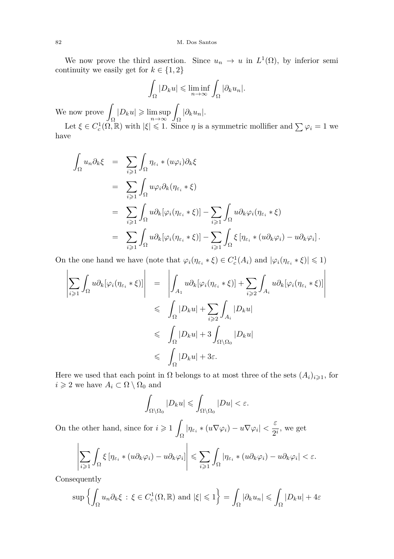We now prove the third assertion. Since  $u_n \to u$  in  $L^1(\Omega)$ , by inferior semi continuity we easily get for  $k \in \{1, 2\}$ 

$$
\int_{\Omega} |D_k u| \leqslant \liminf_{n \to \infty} \int_{\Omega} |\partial_k u_n|.
$$

We now prove  $\int$  $\int_{\Omega} |D_k u| \geqslant \limsup_{n \to \infty} \int_{\Omega} |\partial_k u_n|.$ 

Let  $\xi \in C_c^1(\Omega, \mathbb{R})$  with  $|\xi| \leq 1$ . Since  $\eta$  is a symmetric mollifier and  $\sum \varphi_i = 1$  we have

$$
\int_{\Omega} u_n \partial_k \xi = \sum_{i \geq 1} \int_{\Omega} \eta_{\varepsilon_i} * (u\varphi_i) \partial_k \xi
$$
  
\n
$$
= \sum_{i \geq 1} \int_{\Omega} u\varphi_i \partial_k (\eta_{\varepsilon_i} * \xi)
$$
  
\n
$$
= \sum_{i \geq 1} \int_{\Omega} u \partial_k [\varphi_i (\eta_{\varepsilon_i} * \xi)] - \sum_{i \geq 1} \int_{\Omega} u \partial_k \varphi_i (\eta_{\varepsilon_i} * \xi)
$$
  
\n
$$
= \sum_{i \geq 1} \int_{\Omega} u \partial_k [\varphi_i (\eta_{\varepsilon_i} * \xi)] - \sum_{i \geq 1} \int_{\Omega} \xi [\eta_{\varepsilon_i} * (u \partial_k \varphi_i) - u \partial_k \varphi_i].
$$

On the one hand we have (note that  $\varphi_i(\eta_{\varepsilon_i} * \xi) \in C_c^1(A_i)$  and  $|\varphi_i(\eta_{\varepsilon_i} * \xi)| \leq 1$ )

$$
\left| \sum_{i \geq 1} \int_{\Omega} u \partial_{k} [\varphi_{i} (\eta_{\varepsilon_{i}} * \xi)] \right| = \left| \int_{A_{1}} u \partial_{k} [\varphi_{i} (\eta_{\varepsilon_{i}} * \xi)] + \sum_{i \geq 2} \int_{A_{i}} u \partial_{k} [\varphi_{i} (\eta_{\varepsilon_{i}} * \xi)] \right|
$$
  

$$
\leq \int_{\Omega} |D_{k} u| + \sum_{i \geq 2} \int_{A_{i}} |D_{k} u|
$$
  

$$
\leq \int_{\Omega} |D_{k} u| + 3 \int_{\Omega \setminus \Omega_{0}} |D_{k} u|
$$
  

$$
\leq \int_{\Omega} |D_{k} u| + 3 \varepsilon.
$$

Here we used that each point in  $\Omega$  belongs to at most three of the sets  $(A_i)_{i\geqslant 1}$ , for  $i\geqslant 2$  we have  $A_i\subset \Omega\setminus \Omega_0$  and

$$
\int_{\Omega\setminus\Omega_0}|D_ku|\leqslant\int_{\Omega\setminus\Omega_0}|Du|<\varepsilon.
$$

On the other hand, since for  $i \geq 1$  $\int_{\Omega} |\eta_{\varepsilon_i} * (u\nabla \varphi_i) - u\nabla \varphi_i| < \frac{\varepsilon}{2^i}$  $\frac{1}{2^i}$ , we get

$$
\left|\sum_{i\geq 1}\int_{\Omega}\xi\left[\eta_{\varepsilon_{i}}\ast(u\partial_{k}\varphi_{i})-u\partial_{k}\varphi_{i}\right]\right|\leqslant \sum_{i\geqslant 1}\int_{\Omega}\left|\eta_{\varepsilon_{i}}\ast(u\partial_{k}\varphi_{i})-u\partial_{k}\varphi_{i}\right|<\varepsilon.
$$

Consequently

$$
\sup \left\{ \int_{\Omega} u_n \partial_k \xi \, : \, \xi \in C_c^1(\Omega, \mathbb{R}) \text{ and } |\xi| \leqslant 1 \right\} = \int_{\Omega} |\partial_k u_n| \leqslant \int_{\Omega} |D_k u| + 4\varepsilon
$$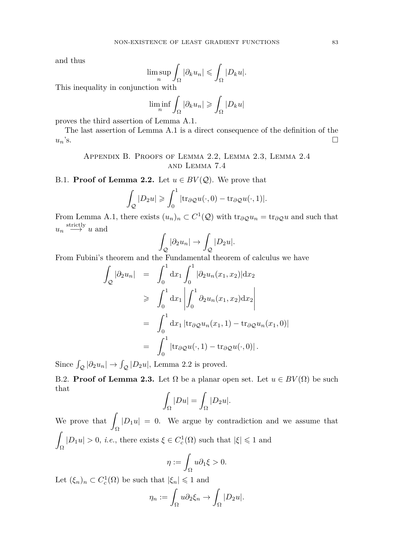and thus

$$
\limsup_{n} \int_{\Omega} |\partial_k u_n| \leqslant \int_{\Omega} |D_k u|.
$$

This inequality in conjunction with

$$
\liminf_{n} \int_{\Omega} |\partial_k u_n| \geqslant \int_{\Omega} |D_k u|
$$

proves the third assertion of Lemma [A.1.](#page-16-0)

The last assertion of Lemma [A.1](#page-16-0) is a direct consequence of the definition of the  $u_n$ 's.

Appendix B. Proofs of Lemma [2.2,](#page-2-3) Lemma [2.3,](#page-3-2) Lemma [2.4](#page-3-3) and Lemma [7.4](#page-15-2)

<span id="page-19-0"></span>B.1. **Proof of Lemma [2.2.](#page-2-3)** Let  $u \in BV(\mathcal{Q})$ . We prove that

$$
\int_{\mathcal{Q}} |D_2 u| \geqslant \int_0^1 |\text{tr}_{\partial \mathcal{Q}} u(\cdot, 0) - \text{tr}_{\partial \mathcal{Q}} u(\cdot, 1)|.
$$

From Lemma [A.1,](#page-16-0) there exists  $(u_n)_n \subset C^1(\mathcal{Q})$  with  $\text{tr}_{\partial \mathcal{Q}} u_n = \text{tr}_{\partial \mathcal{Q}} u$  and such that  $u_n \stackrel{\text{strictly}}{\longrightarrow} u$  and

$$
\int_{\mathcal{Q}}|\partial_2 u_n| \to \int_{\mathcal{Q}}|D_2 u|.
$$

From Fubini's theorem and the Fundamental theorem of calculus we have

$$
\int_{Q} |\partial_2 u_n| = \int_0^1 dx_1 \int_0^1 |\partial_2 u_n(x_1, x_2)| dx_2
$$
  
\n
$$
\geq \int_0^1 dx_1 \left| \int_0^1 \partial_2 u_n(x_1, x_2) dx_2 \right|
$$
  
\n
$$
= \int_0^1 dx_1 |tr_{\partial Q} u_n(x_1, 1) - tr_{\partial Q} u_n(x_1, 0)|
$$
  
\n
$$
= \int_0^1 |tr_{\partial Q} u(\cdot, 1) - tr_{\partial Q} u(\cdot, 0)|.
$$

Since  $\int_{Q} |\partial_2 u_n| \to \int_{Q} |D_2 u|$ , Lemma [2.2](#page-2-3) is proved.

<span id="page-19-1"></span>B.2. **Proof of Lemma [2.3.](#page-3-2)** Let  $\Omega$  be a planar open set. Let  $u \in BV(\Omega)$  be such that

$$
\int_{\Omega} |Du| = \int_{\Omega} |D_2 u|.
$$

We prove that  $\overline{Z}$  $|D_1 u| = 0$ . We argue by contradiction and we assume that Z  $\binom{|D_1u|}{\Omega} > 0$ , *i.e.*, there exists  $\xi \in C_c^1(\Omega)$  such that  $|\xi| \leq 1$  and

$$
\eta := \int_{\Omega} u \partial_1 \xi > 0.
$$

Let  $(\xi_n)_n \subset C_c^1(\Omega)$  be such that  $|\xi_n| \leq 1$  and

$$
\eta_n := \int_{\Omega} u \partial_2 \xi_n \to \int_{\Omega} |D_2 u|.
$$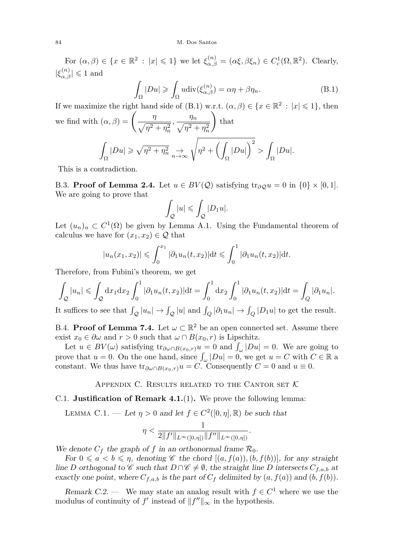For  $(\alpha, \beta) \in \{x \in \mathbb{R}^2 : |x| \leq 1\}$  we let  $\xi_{\alpha, \beta}^{(n)} = (\alpha \xi, \beta \xi_n) \in C_c^1(\Omega, \mathbb{R}^2)$ . Clearly,  $|\xi_{\alpha,\beta}^{(n)}| \leqslant 1$  and

<span id="page-20-3"></span>
$$
\int_{\Omega} |Du| \geqslant \int_{\Omega} u \operatorname{div}(\xi_{\alpha,\beta}^{(n)}) = \alpha \eta + \beta \eta_n. \tag{B.1}
$$

If we maximize the right hand side of [\(B.1\)](#page-20-3) w.r.t.  $(\alpha, \beta) \in \{x \in \mathbb{R}^2 : |x| \leq 1\}$ , then we find with  $(\alpha, \beta) = \left(\frac{\eta}{\sqrt{2\pi}}\right)$  $\frac{\eta}{\sqrt{\eta^2 + \eta_n^2}}, \frac{\eta_n}{\sqrt{\eta^2 + \eta_n^2}}$  $\eta^2 + \eta_n^2$  $\setminus$ that Z Ω  $|Du|\geqslant \sqrt{\eta^2+\eta_n^2}$  $\sum_{n=1}^{\infty}$   $\frac{1}{n^2}$   $\left(\frac{1}{n^2} + \left(\frac{1}{n^2}\right)\right)$ Ω  $|Du|\big)^2>$ Ω |*Du*|*.*

This is a contradiction.

<span id="page-20-0"></span>B.3. **Proof of Lemma [2.4.](#page-3-3)** Let  $u \in BV(\mathcal{Q})$  satisfying  $tr_{\partial \mathcal{Q}} u = 0$  in  $\{0\} \times [0,1]$ . We are going to prove that

$$
\int_{\mathcal{Q}}|u|\leqslant \int_{\mathcal{Q}}|D_1u|.
$$

Let  $(u_n)_n \subset C^1(\Omega)$  be given by Lemma [A.1.](#page-16-0) Using the Fundamental theorem of calculus we have for  $(x_1, x_2) \in \mathcal{Q}$  that

$$
|u_n(x_1, x_2)| \le \int_0^{x_1} |\partial_1 u_n(t, x_2)| dt \le \int_0^1 |\partial_1 u_n(t, x_2)| dt.
$$

Therefore, from Fubini's theorem, we get

$$
\int_{Q} |u_{n}| \leqslant \int_{Q} dx_{1} dx_{2} \int_{0}^{1} |\partial_{1} u_{n}(t,x_{2})| dt = \int_{0}^{1} dx_{2} \int_{0}^{1} |\partial_{1} u_{n}(t,x_{2})| dt = \int_{Q} |\partial_{1} u_{n}|.
$$

It suffices to see that  $\int_{\mathcal{Q}} |u_n| \to \int_{\mathcal{Q}} |u|$  and  $\int_{Q} |\partial_1 u_n| \to \int_{Q} |D_1 u|$  to get the result.

<span id="page-20-2"></span>B.4. **Proof of Lemma [7.4.](#page-15-2)** Let  $\omega \subset \mathbb{R}^2$  be an open connected set. Assume there exist  $x_0 \in \partial \omega$  and  $r > 0$  such that  $\omega \cap B(x_0, r)$  is Lipschitz.

Let  $u \in BV(\omega)$  satisfying  $\text{tr}_{\partial \omega \cap B(x_0,r)} u = 0$  and  $\int_{\omega} |Du| = 0$ . We are going to prove that  $u = 0$ . On the one hand, since  $\int_{\omega} |Du| = 0$ , we get  $u = C$  with  $C \in \mathbb{R}$  a constant. We thus have  $\text{tr}_{\partial \omega \cap B(x_0,r)} u = C$ . Consequently  $C = 0$  and  $u \equiv 0$ .

APPENDIX C. RESULTS RELATED TO THE CANTOR SET  $K$ 

# <span id="page-20-4"></span><span id="page-20-1"></span>C.1. **Justification of Remark [4.1.](#page-0-0)**[\(1\)](#page-6-2)**.** We prove the following lemma:

LEMMA C.1. — Let  $\eta > 0$  and let  $f \in C^2([0, \eta], \mathbb{R})$  be such that

$$
\eta < \frac{1}{2\|f'\|_{L^{\infty}([0,\eta])}\|f''\|_{L^{\infty}([0,\eta])}}.
$$

We denote  $C_f$  the graph of f in an orthonormal frame  $\mathcal{R}_0$ .

For  $0 \leq a \leq b \leq \eta$ , denoting C the chord  $[(a, f(a)), (b, f(b))]$ , for any straight line *D* orthogonal to  $\mathscr C$  such that  $D \cap \mathscr C \neq \emptyset$ , the straight line *D* intersects  $C_{f,a,b}$  at exactly one point, where  $C_{f,a,b}$  is the part of  $C_f$  delimited by  $(a, f(a))$  and  $(b, f(b))$ .

Remark C.2. — We may state an analog result with  $f \in C^1$  where we use the modulus of continuity of  $f'$  instead of  $||f''||_{\infty}$  in the hypothesis.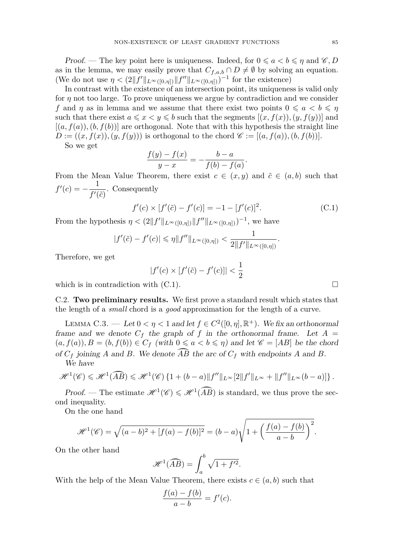*Proof.* — The key point here is uniqueness. Indeed, for  $0 \leq a < b \leq \eta$  and  $\mathscr{C}, D$ as in the lemma, we may easily prove that  $C_{f,a,b} \cap D \neq \emptyset$  by solving an equation. (We do not use  $\eta < (2||f'||_{L^{\infty}([0,\eta])}||f''||_{L^{\infty}([0,\eta])})^{-1}$  for the existence)

In contrast with the existence of an intersection point, its uniqueness is valid only for  $\eta$  not too large. To prove uniqueness we argue by contradiction and we consider *f* and *η* as in lemma and we assume that there exist two points  $0 \leq a < b \leq \eta$ such that there exist  $a \leq x < y \leq b$  such that the segments  $[(x, f(x)), (y, f(y))]$  and  $[(a, f(a)), (b, f(b))]$  are orthogonal. Note that with this hypothesis the straight line  $D := ((x, f(x)), (y, f(y)))$  is orthogonal to the chord  $\mathscr{C} := [(a, f(a)), (b, f(b))].$ 

So we get

$$
\frac{f(y) - f(x)}{y - x} = -\frac{b - a}{f(b) - f(a)}.
$$

From the Mean Value Theorem, there exist  $c \in (x, y)$  and  $\tilde{c} \in (a, b)$  such that  $f'(c) = -\frac{1}{ct}$  $\frac{1}{f'(\tilde{c})}$ . Consequently

<span id="page-21-2"></span>
$$
f'(c) \times [f'(\tilde{c}) - f'(c)] = -1 - [f'(c)]^2.
$$
 (C.1)

From the hypothesis  $\eta < (2||f'||_{L^{\infty}([0,\eta])}||f''||_{L^{\infty}([0,\eta])})^{-1}$ , we have

$$
|f'(\tilde{c}) - f'(c)| \leq \eta \|f''\|_{L^{\infty}([0,\eta])} < \frac{1}{2\|f'\|_{L^{\infty}([0,\eta])}}.
$$

Therefore, we get

$$
|f'(c) \times [f'(\tilde{c}) - f'(c)]| < \frac{1}{2}
$$

which is in contradiction with  $(C.1)$ .

<span id="page-21-1"></span>C.2. **Two preliminary results.** We first prove a standard result which states that the length of a *small* chord is a *good* approximation for the length of a curve.

<span id="page-21-0"></span>LEMMA C.3. — Let  $0 < \eta < 1$  and let  $f \in C^2([0, \eta], \mathbb{R}^+)$ . We fix an orthonormal frame and we denote  $C_f$  the graph of f in the orthonormal frame. Let  $A =$  $(a, f(a)), B = (b, f(b)) \in C_f$  (with  $0 \le a < b \le \eta$ ) and let  $\mathscr{C} = [AB]$  be the chord of  $C_f$  joining *A* and *B*. We denote  $\overline{AB}$  the arc of  $C_f$  with endpoints *A* and *B*. We have

$$
\mathscr{H}^1(\mathscr{C}) \leqslant \mathscr{H}^1(\widehat{AB}) \leqslant \mathscr{H}^1(\mathscr{C}) \left\{ 1 + (b-a) \|f''\|_{L^\infty} [2\|f'\|_{L^\infty} + \|f''\|_{L^\infty} (b-a)] \right\}.
$$

Proof. – The estimate  $\mathcal{H}^1(\mathscr{C}) \leq \mathcal{H}^1(\widehat{AB})$  is standard, we thus prove the second inequality.

On the one hand

$$
\mathcal{H}^{1}(\mathcal{C}) = \sqrt{(a-b)^{2} + [f(a) - f(b)]^{2}} = (b-a)\sqrt{1 + \left(\frac{f(a) - f(b)}{a-b}\right)^{2}}.
$$

On the other hand

$$
\mathcal{H}^1(\widehat{AB}) = \int_a^b \sqrt{1 + f'^2}.
$$

With the help of the Mean Value Theorem, there exists  $c \in (a, b)$  such that

$$
\frac{f(a) - f(b)}{a - b} = f'(c).
$$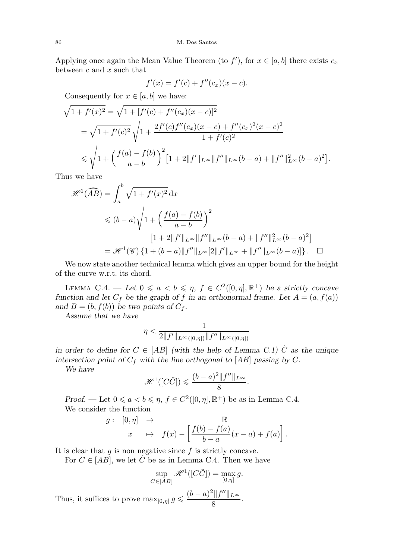Applying once again the Mean Value Theorem (to  $f'$ ), for  $x \in [a, b]$  there exists  $c_x$ between *c* and *x* such that

$$
f'(x) = f'(c) + f''(c_x)(x - c).
$$

Consequently for  $x \in [a, b]$  we have:

$$
\sqrt{1 + f'(x)^2} = \sqrt{1 + [f'(c) + f''(c_x)(x - c)]^2}
$$
  
=  $\sqrt{1 + f'(c)^2} \sqrt{1 + \frac{2f'(c)f''(c_x)(x - c) + f''(c_x)^2(x - c)^2}{1 + f'(c)^2}}$   
 $\leq \sqrt{1 + \left(\frac{f(a) - f(b)}{a - b}\right)^2} [1 + 2||f'||_{L^\infty}||f''||_{L^\infty} (b - a) + ||f''||_{L^\infty}^2 (b - a)^2].$ 

Thus we have

$$
\mathcal{H}^{1}(\widehat{AB}) = \int_{a}^{b} \sqrt{1 + f'(x)^{2}} dx
$$
  
\n
$$
\leq (b - a) \sqrt{1 + \left(\frac{f(a) - f(b)}{a - b}\right)^{2}}
$$
  
\n
$$
[1 + 2||f'||_{L^{\infty}}||f''||_{L^{\infty}}(b - a) + ||f''||_{L^{\infty}}^{2}(b - a)^{2}]
$$
  
\n
$$
= \mathcal{H}^{1}(\mathcal{C}) \{1 + (b - a)||f''||_{L^{\infty}}[2||f'||_{L^{\infty}} + ||f''||_{L^{\infty}}(b - a)]\}.
$$

We now state another technical lemma which gives an upper bound for the height of the curve w.r.t. its chord.

<span id="page-22-0"></span>LEMMA C.4. — Let  $0 \le a < b \le \eta$ ,  $f \in C^2([0, \eta], \mathbb{R}^+)$  be a strictly concave function and let  $C_f$  be the graph of *f* in an orthonormal frame. Let  $A = (a, f(a))$ and  $B = (b, f(b))$  be two points of  $C_f$ .

Assume that we have

$$
\eta < \frac{1}{2\|f'\|_{L^{\infty}([0,\eta])}\|f''\|_{L^{\infty}([0,\eta])}}
$$

 $\overline{1}$ 

in order to define for  $C \in [AB]$  (with the help of Lemma [C.1\)](#page-20-4)  $\tilde{C}$  as the unique intersection point of  $C_f$  with the line orthogonal to  $[AB]$  passing by  $C$ .

We have

$$
\mathscr{H}^1([C\tilde{C}]) \leqslant \frac{(b-a)^2 \|f''\|_{L^\infty}}{8}.
$$

Proof. — Let  $0 \le a < b \le \eta$ ,  $f \in C^2([0, \eta], \mathbb{R}^+)$  be as in Lemma [C.4.](#page-22-0) We consider the function

$$
g: [0, \eta] \rightarrow \mathbb{R}
$$
  

$$
x \mapsto f(x) - \left[ \frac{f(b) - f(a)}{b - a} (x - a) + f(a) \right].
$$

It is clear that *g* is non negative since *f* is strictly concave.

For  $C \in [AB]$ , we let  $\tilde{C}$  be as in Lemma [C.4.](#page-22-0) Then we have

$$
\sup_{C \in [AB]} \mathcal{H}^1([C\tilde{C}]) = \max_{[0,\eta]} g.
$$

Thus, it suffices to prove  $\max_{[0,\eta]} g \leqslant \frac{(b-a)^2 \|f''\|_{L^\infty}}{8}$  $\frac{15}{8}$ .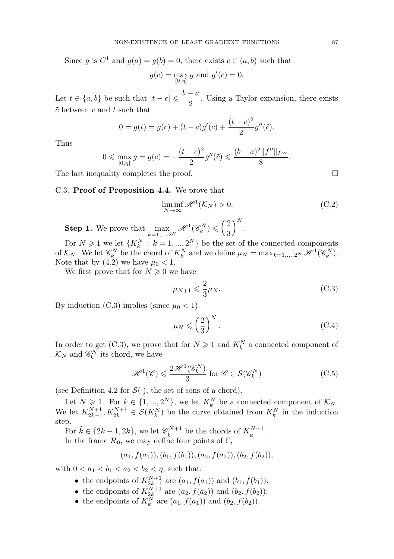Since *g* is  $C^1$  and  $g(a) = g(b) = 0$ , there exists  $c \in (a, b)$  such that

$$
g(c) = \max_{[0,\eta]} g
$$
 and  $g'(c) = 0$ .

Let  $t \in \{a, b\}$  be such that  $|t - c| \leqslant \frac{b - a}{\alpha}$  $\frac{1}{2}$ . Using a Taylor expansion, there exists  $\tilde{c}$  between  $c$  and  $t$  such that

$$
0 = g(t) = g(c) + (t - c)g'(c) + \frac{(t - c)^2}{2}g''(\tilde{c}).
$$

Thus

$$
0 \le \max_{[0,\eta]} g = g(c) = -\frac{(t-c)^2}{2}g''(\tilde{c}) \le \frac{(b-a)^2 \|f''\|_{L^\infty}}{8}.
$$

The last inequality completes the proof.  $\hfill \square$ 

# <span id="page-23-0"></span>C.3. **Proof of Proposition [4.4.](#page-7-4)** We prove that

<span id="page-23-4"></span>
$$
\liminf_{N \to \infty} \mathcal{H}^1(\mathcal{K}_N) > 0. \tag{C.2}
$$

**Step 1.** We prove that  $\max_{k=1,\dots,2^N} \mathcal{H}^1(\mathscr{C}_k^N) \leqslant \left(\frac{2}{3}\right)$ 3  $\bigg)$ <sup>N</sup>.

For  $N \geq 1$  we let  $\{K_k^N : k = 1, ..., 2^N\}$  be the set of the connected components of  $\mathcal{K}_N$ . We let  $\mathcal{C}_k^N$  be the chord of  $K_k^N$  and we define  $\mu_N = \max_{k=1,\dots,2^N} \mathcal{H}^1(\mathcal{C}_k^N)$ . Note that by  $(4.2)$  we have  $\mu_0 < 1$ .

We first prove that for  $N \geq 0$  we have

<span id="page-23-1"></span>
$$
\mu_{N+1} \leqslant \frac{2}{3} \mu_N. \tag{C.3}
$$

By induction  $(C.3)$  implies (since  $\mu_0 < 1$ )

<span id="page-23-3"></span>
$$
\mu_N \leqslant \left(\frac{2}{3}\right)^N. \tag{C.4}
$$

In order to get [\(C.3\)](#page-23-1), we prove that for  $N \geq 1$  and  $K_k^N$  a connected component of  $\mathcal{K}_N$  and  $\mathscr{C}_k^N$  its chord, we have

<span id="page-23-2"></span>
$$
\mathcal{H}^{1}(\mathcal{C}) \leqslant \frac{2\mathcal{H}^{1}(\mathcal{C}_{k}^{N})}{3} \text{ for } \mathcal{C} \in \mathcal{S}(\mathcal{C}_{k}^{N})
$$
 (C.5)

(see Definition [4.2](#page-7-3) for  $\mathcal{S}(\cdot)$ , the set of sons of a chord).

Let  $N \ge 1$ . For  $k \in \{1, ..., 2^N\}$ , we let  $K_k^N$  be a connected component of  $\mathcal{K}_N$ . We let  $K_{2k-1}^{N+1}, K_{2k}^{N+1} \in \mathcal{S}(K_k^N)$  be the curve obtained from  $K_k^N$  in the induction step.

For  $\tilde{k} \in \{2k-1, 2k\}$ , we let  $\mathcal{C}_{\tilde{k}}^{N+1}$  be the chords of  $K_{\tilde{k}}^{N+1}$ . In the frame  $\mathcal{R}_0$ , we may define four points of  $\Gamma$ ,

$$
(a_1, f(a_1)), (b_1, f(b_1)), (a_2, f(a_2)), (b_2, f(b_2)),
$$

with  $0 < a_1 < b_1 < a_2 < b_2 < \eta$ , such that:

- the endpoints of  $K_{2k-1}^{N+1}$  are  $(a_1, f(a_1))$  and  $(b_1, f(b_1));$
- the endpoints of  $K_{2k}^{N+1}$  are  $(a_2, f(a_2))$  and  $(b_2, f(b_2))$ ;
- the endpoints of  $K_k^N$  are  $(a_1, f(a_1))$  and  $(b_2, f(b_2))$ .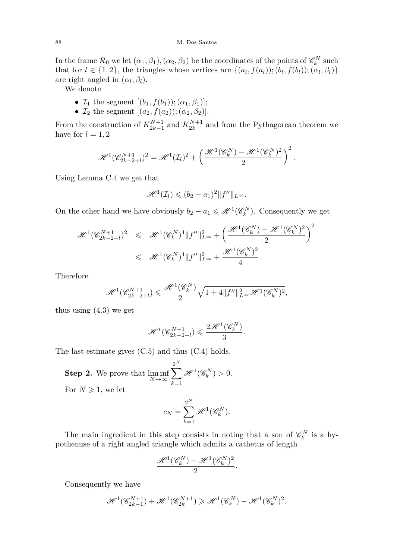#### 88 M. Dos Santos

In the frame  $\mathcal{R}_0$  we let  $(\alpha_1, \beta_1), (\alpha_2, \beta_2)$  be the coordinates of the points of  $\mathscr{C}_k^N$  such that for  $l \in \{1, 2\}$ , the triangles whose vertices are  $\{(a_l, f(a_l))$ ;  $(b_l, f(b_l))$ ;  $(\alpha_l, \beta_l)\}$ are right angled in  $(\alpha_l, \beta_l)$ .

We denote

- $\mathcal{I}_1$  the segment  $[(b_1, f(b_1)); (\alpha_1, \beta_1)];$
- $\mathcal{I}_2$  the segment  $[(a_2, f(a_2)); (\alpha_2, \beta_2)].$

From the construction of  $K_{2k-1}^{N+1}$  and  $K_{2k}^{N+1}$  and from the Pythagorean theorem we have for  $l = 1, 2$ 

$$
\mathscr{H}^1(\mathscr{C}^{N+1}_{2k-2+l})^2=\mathscr{H}^1(\mathcal{I}_l)^2+\left(\frac{\mathscr{H}^1(\mathscr{C}^N_k)-\mathscr{H}^1(\mathscr{C}^N_k)^2}{2}\right)^2.
$$

Using Lemma [C.4](#page-22-0) we get that

$$
\mathscr{H}^1(\mathcal{I}_l)\leqslant (b_2-a_1)^2\|f''\|_{L^\infty}.
$$

On the other hand we have obviously  $b_2 - a_1 \leq \mathcal{H}^1(\mathcal{C}_k^N)$ . Consequently we get

$$
\mathcal{H}^{1}(\mathscr{C}_{2k-2+l}^{N+1})^{2} \leq \mathcal{H}^{1}(\mathscr{C}_{k}^{N})^{4} \|f^{\prime\prime}\|_{L^{\infty}}^{2} + \left(\frac{\mathcal{H}^{1}(\mathscr{C}_{k}^{N}) - \mathcal{H}^{1}(\mathscr{C}_{k}^{N})^{2}}{2}\right)^{2} \leq \mathcal{H}^{1}(\mathscr{C}_{k}^{N})^{4} \|f^{\prime\prime}\|_{L^{\infty}}^{2} + \frac{\mathcal{H}^{1}(\mathscr{C}_{k}^{N})^{2}}{4}.
$$

Therefore

$$
\mathscr{H}^1(\mathscr{C}^{N+1}_{2k-2+l})\leqslant \frac{\mathscr{H}^1(\mathscr{C}^N_k)}{2}\sqrt{1+4\|f^{\prime\prime}\|_{L^\infty}^2\mathscr{H}^1(\mathscr{C}^N_k)^2},
$$

thus using  $(4.3)$  we get

$$
\mathcal{H}^1(\mathscr{C}_{2k-2+l}^{N+1}) \leqslant \frac{2\mathcal{H}^1(\mathscr{C}_k^N)}{3}.
$$

The last estimate gives [\(C.5\)](#page-23-2) and thus [\(C.4\)](#page-23-3) holds.

**Step 2.** We prove that  $\liminf_{N \to \infty}$  $\sum_{n=1}^{N}$ *k*=1  $\mathscr{H}^1(\mathscr{C}_k^N) > 0.$ For  $N \geqslant 1$ , we let

$$
c_N = \sum_{k=1}^{2^N} \mathcal{H}^1(\mathcal{C}_k^N).
$$

The main ingredient in this step consists in noting that a son of  $\mathcal{C}_k^N$  is a hypothenuse of a right angled triangle which admits a cathetus of length

$$
\frac{\mathscr{H}^1(\mathscr{C}_k^N)-\mathscr{H}^1(\mathscr{C}_k^N)^2}{2}.
$$

Consequently we have

$$
\mathcal{H}^{1}(\mathscr{C}_{2k-1}^{N+1}) + \mathcal{H}^{1}(\mathscr{C}_{2k}^{N+1}) \geq \mathcal{H}^{1}(\mathscr{C}_{k}^{N}) - \mathcal{H}^{1}(\mathscr{C}_{k}^{N})^{2}.
$$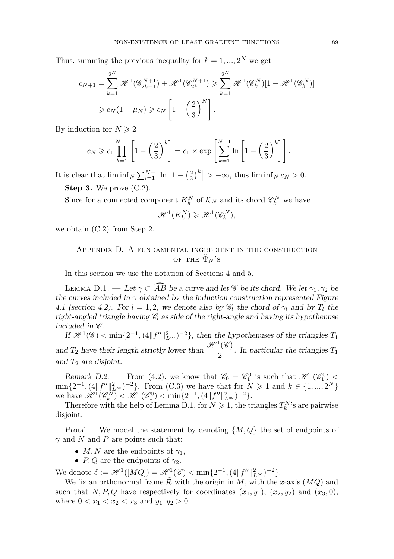Thus, summing the previous inequality for  $k = 1, ..., 2^N$  we get

$$
c_{N+1} = \sum_{k=1}^{2^N} \mathcal{H}^1(\mathcal{C}_{2k-1}^{N+1}) + \mathcal{H}^1(\mathcal{C}_{2k}^{N+1}) \ge \sum_{k=1}^{2^N} \mathcal{H}^1(\mathcal{C}_k^N)[1 - \mathcal{H}^1(\mathcal{C}_k^N)]
$$
  

$$
\ge c_N(1 - \mu_N) \ge c_N \left[1 - \left(\frac{2}{3}\right)^N\right].
$$

By induction for  $N \geqslant 2$ 

$$
c_N \geqslant c_1 \prod_{k=1}^{N-1} \left[ 1 - \left(\frac{2}{3}\right)^k \right] = c_1 \times \exp\left[\sum_{k=1}^{N-1} \ln\left[1 - \left(\frac{2}{3}\right)^k\right] \right].
$$

It is clear that  $\liminf_{N} \sum_{l=1}^{N-1} \ln \left[1 - \left(\frac{2}{3}\right)^k \right] > -\infty$ , thus  $\liminf_{N} c_N > 0$ .

**Step 3.** We prove [\(C.2\)](#page-23-4).

Since for a connected component  $K_k^N$  of  $\mathcal{K}_N$  and its chord  $\mathscr{C}_k^N$  we have  $\mathscr{H}^1(K_k^N) \geq \mathscr{H}^1(\mathscr{C}_k^N),$ 

<span id="page-25-0"></span>we obtain [\(C.2\)](#page-23-4) from Step 2.

# Appendix D. A fundamental ingredient in the construction OF THE  $\tilde{\Psi}_N$ 'S

In this section we use the notation of Sections [4](#page-5-0) and [5.](#page-8-0)

<span id="page-25-1"></span>LEMMA D.1. — Let  $\gamma \subset \widehat{AB}$  be a curve and let  $\mathscr C$  be its chord. We let  $\gamma_1, \gamma_2$  be the curves included in  $\gamma$  obtained by the induction construction represented Figure [4.1](#page-7-0) (section [4.2\)](#page-6-4). For  $l = 1, 2$ , we denote also by  $\mathcal{C}_l$  the chord of  $\gamma_l$  and by  $T_l$  the right-angled triangle having  $\mathcal{C}_l$  as side of the right-angle and having its hypothenuse included in  $\mathscr{C}$ .

If  $\mathcal{H}^1(\mathscr{C}) < \min\{2^{-1}, (4||f''||_{L^{\infty}}^2)^{-2}\}\$ , then the hypothenuses of the triangles  $T_1$ and  $T_2$  have their length strictly lower than  $\frac{\mathcal{H}^1(\mathscr{C})}{2}$  $\frac{1}{2}$ . In particular the triangles  $T_1$ and  $T_2$  are disjoint.

<span id="page-25-2"></span>Remark D.2. – From [\(4.2\)](#page-6-1), we know that  $\mathcal{C}_0 = \mathcal{C}_1^0$  is such that  $\mathcal{H}^1(\mathcal{C}_1^0)$  $\min\{2^{-1}, (4||f''||_{L^{\infty}}^2)^{-2}\}.$  From [\(C.3\)](#page-23-1) we have that for  $N \geq 1$  and  $k \in \{1, ..., 2^N\}$ we have  $\mathscr{H}^1(\mathscr{C}_{k}^N) < \mathscr{H}^1(\mathscr{C}_{1}^0) < \min\{2^{-1}, (4||f''||_{L^{\infty}}^2)^{-2}\}.$ 

Therefore with the help of Lemma [D.1,](#page-25-1) for  $N \geq 1$ , the triangles  $T_k^N$ 's are pairwise disjoint.

Proof. — We model the statement by denoting  $\{M, Q\}$  the set of endpoints of *γ* and *N* and *P* are points such that:

- *M, N* are the endpoints of  $\gamma_1$ ,
- *P, Q* are the endpoints of  $\gamma_2$ .

We denote  $\delta := \mathcal{H}^1([MQ]) = \mathcal{H}^1(\mathcal{C}) < \min\{2^{-1}, (4||f''||^2_{L^{\infty}})^{-2}\}.$ 

We fix an orthonormal frame  $\tilde{\mathcal{R}}$  with the origin in *M*, with the *x*-axis  $(MQ)$  and such that *N, P, Q* have respectively for coordinates  $(x_1, y_1)$ ,  $(x_2, y_2)$  and  $(x_3, 0)$ , where  $0 < x_1 < x_2 < x_3$  and  $y_1, y_2 > 0$ .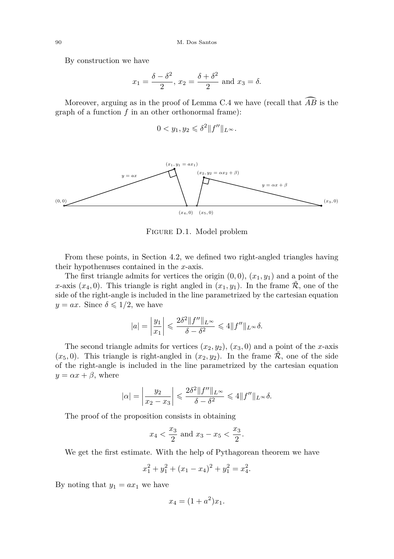By construction we have

$$
x_1 = \frac{\delta - \delta^2}{2}
$$
,  $x_2 = \frac{\delta + \delta^2}{2}$  and  $x_3 = \delta$ .

Moreover, arguing as in the proof of Lemma [C.4](#page-22-0) we have (recall that  $\overrightarrow{AB}$  is the graph of a function *f* in an other orthonormal frame):

$$
0 < y_1, y_2 \leqslant \delta^2 \|f''\|_{L^\infty}.
$$



Figure D.1. Model problem

From these points, in Section [4.2,](#page-6-4) we defined two right-angled triangles having their hypothenuses contained in the *x*-axis.

The first triangle admits for vertices the origin  $(0,0)$ ,  $(x_1, y_1)$  and a point of the *x*-axis  $(x_4, 0)$ . This triangle is right angled in  $(x_1, y_1)$ . In the frame R, one of the side of the right-angle is included in the line parametrized by the cartesian equation  $y = ax$ . Since  $\delta \leq 1/2$ , we have

$$
|a| = \left|\frac{y_1}{x_1}\right| \leqslant \frac{2\delta^2 \|f''\|_{L^\infty}}{\delta - \delta^2} \leqslant 4 \|f''\|_{L^\infty} \delta.
$$

The second triangle admits for vertices  $(x_2, y_2)$ ,  $(x_3, 0)$  and a point of the *x*-axis  $(x_5, 0)$ . This triangle is right-angled in  $(x_2, y_2)$ . In the frame  $\mathcal{R}$ , one of the side of the right-angle is included in the line parametrized by the cartesian equation  $y = \alpha x + \beta$ , where

$$
|\alpha| = \left|\frac{y_2}{x_2 - x_3}\right| \leqslant \frac{2\delta^2 \|f''\|_{L^\infty}}{\delta - \delta^2} \leqslant 4 \|f''\|_{L^\infty} \delta.
$$

The proof of the proposition consists in obtaining

$$
x_4 < \frac{x_3}{2}
$$
 and  $x_3 - x_5 < \frac{x_3}{2}$ .

We get the first estimate. With the help of Pythagorean theorem we have

$$
x_1^2 + y_1^2 + (x_1 - x_4)^2 + y_1^2 = x_4^2.
$$

By noting that  $y_1 = ax_1$  we have

$$
x_4 = (1 + a^2)x_1.
$$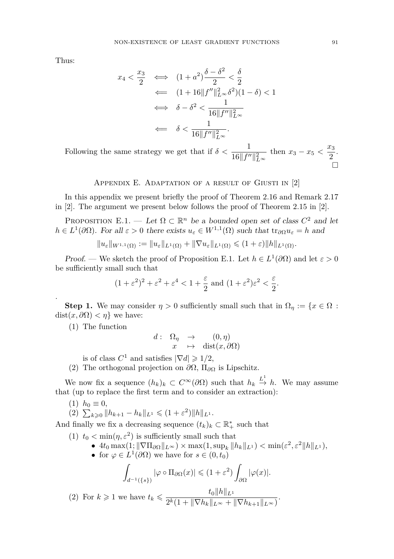Thus:

$$
x_4 < \frac{x_3}{2} \iff (1+a^2)\frac{\delta - \delta^2}{2} < \frac{\delta}{2}
$$
\n
$$
\iff (1+16||f''||_{L^{\infty}}^2\delta^2)(1-\delta) < 1
$$
\n
$$
\iff \delta - \delta^2 < \frac{1}{16||f''||_{L^{\infty}}^2}
$$
\n
$$
\iff \delta < \frac{1}{16||f''||_{L^{\infty}}^2}.
$$

Following the same strategy we get that if  $\delta < \frac{1}{16||f''||_{L^{\infty}}^2}$ then  $x_3 - x_5 < \frac{x_3}{2}$  $rac{1}{2}$ .  $\Box$ 

# APPENDIX E. ADAPTATION OF A RESULT OF GIUSTI IN [\[2\]](#page-29-2)

<span id="page-27-0"></span>In this appendix we present briefly the proof of Theorem 2.16 and Remark 2.17 in [\[2\]](#page-29-2). The argument we present below follows the proof of Theorem 2.15 in [\[2\]](#page-29-2).

<span id="page-27-1"></span>PROPOSITION E.1. — Let  $\Omega \subset \mathbb{R}^n$  be a bounded open set of class  $C^2$  and let  $h \in L^1(\partial\Omega)$ . For all  $\varepsilon > 0$  there exists  $u_{\varepsilon} \in W^{1,1}(\Omega)$  such that  $tr_{\partial\Omega}u_{\varepsilon} = h$  and

$$
||u_{\varepsilon}||_{W^{1,1}(\Omega)} := ||u_{\varepsilon}||_{L^{1}(\Omega)} + ||\nabla u_{\varepsilon}||_{L^{1}(\Omega)} \leqslant (1+\varepsilon)||h||_{L^{1}(\Omega)}.
$$

Proof. — We sketch the proof of Proposition [E.1.](#page-27-1) Let  $h \in L^1(\partial\Omega)$  and let  $\varepsilon > 0$ be sufficiently small such that

$$
(1+\varepsilon^2)^2+\varepsilon^2+\varepsilon^4<1+\frac{\varepsilon}{2} \text{ and } (1+\varepsilon^2)\varepsilon^2<\frac{\varepsilon}{2}.
$$

**Step 1.** We may consider  $\eta > 0$  sufficiently small such that in  $\Omega_{\eta} := \{x \in \Omega :$  $dist(x, \partial \Omega) < \eta$ } we have:

(1) The function

.

$$
d: \begin{array}{rcl} \Omega_{\eta} & \to & (0, \eta) \\ x & \mapsto & \text{dist}(x, \partial \Omega) \end{array}
$$

is of class  $C^1$  and satisfies  $|\nabla d| \geq 1/2$ ,

(2) The orthogonal projection on *∂*Ω, Π*<sup>∂</sup>*<sup>Ω</sup> is Lipschitz.

We now fix a sequence  $(h_k)_k \subset C^{\infty}(\partial \Omega)$  such that  $h_k \stackrel{L^1}{\to} h$ . We may assume that (up to replace the first term and to consider an extraction):

$$
(1) h_0 \equiv 0,
$$

$$
(2) \ \sum_{k \geqslant 0} \| h_{k+1} - h_k \|_{L^1} \leqslant (1 + \varepsilon^2) \| h \|_{L^1}.
$$

And finally we fix a decreasing sequence  $(t_k)_k \subset \mathbb{R}_+^*$  such that

- (1)  $t_0 < \min(\eta, \varepsilon^2)$  is sufficiently small such that
	- $\blacktriangleright$  4*t*<sub>0</sub> max(1;  $\|\nabla\Pi_{\partial\Omega}\|_{L^{\infty}}$ ) × max(1, sup<sub>*k*</sub>  $|h_k||_{L^1}$ ) < min( $\varepsilon^2$ ,  $\varepsilon^2||h||_{L^1}$ ),
	- for  $\varphi \in L^1(\partial\Omega)$  we have for  $s \in (0, t_0)$

$$
\int_{d^{-1}(\{s\})} |\varphi \circ \Pi_{\partial \Omega}(x)| \leqslant (1+\varepsilon^2) \int_{\partial \Omega} |\varphi(x)|.
$$

(2) For  $k \ge 1$  we have  $t_k \le \frac{t_0 \|h\|_{L^1}}{2k}$  $\frac{c_0 \|\kappa\|_{L^2}}{2^k(1 + \|\nabla h_k\|_{L^\infty} + \|\nabla h_{k+1}\|_{L^\infty})}.$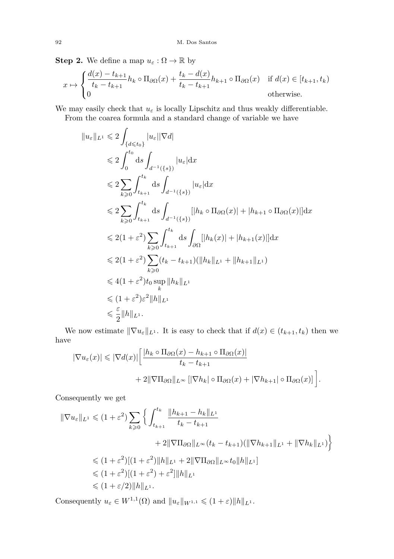**Step 2.** We define a map  $u_{\varepsilon} : \Omega \to \mathbb{R}$  by

 $\overline{a}$ 

$$
x \mapsto \begin{cases} \frac{d(x) - t_{k+1}}{t_k - t_{k+1}} h_k \circ \Pi_{\partial \Omega}(x) + \frac{t_k - d(x)}{t_k - t_{k+1}} h_{k+1} \circ \Pi_{\partial \Omega}(x) & \text{if } d(x) \in [t_{k+1}, t_k) \\ 0 & \text{otherwise.} \end{cases}
$$

We may easily check that  $u_\varepsilon$  is locally Lipschitz and thus weakly differentiable.

From the coarea formula and a standard change of variable we have

$$
||u_{\varepsilon}||_{L^{1}} \leq 2 \int_{\{d \leq t_0\}} |u_{\varepsilon}||\nabla d|
$$
  
\n
$$
\leq 2 \int_{0}^{t_0} ds \int_{d^{-1}(\{s\})} |u_{\varepsilon}| dx
$$
  
\n
$$
\leq 2 \sum_{k \geq 0} \int_{t_{k+1}}^{t_k} ds \int_{d^{-1}(\{s\})} |u_{\varepsilon}| dx
$$
  
\n
$$
\leq 2 \sum_{k \geq 0} \int_{t_{k+1}}^{t_k} ds \int_{d^{-1}(\{s\})} [|h_k \circ \Pi_{\partial\Omega}(x)| + |h_{k+1} \circ \Pi_{\partial\Omega}(x)|] dx
$$
  
\n
$$
\leq 2(1 + \varepsilon^2) \sum_{k \geq 0} \int_{t_{k+1}}^{t_k} ds \int_{\partial\Omega} [|h_k(x)| + |h_{k+1}(x)|] dx
$$
  
\n
$$
\leq 2(1 + \varepsilon^2) \sum_{k \geq 0} (t_k - t_{k+1}) (||h_k||_{L^1} + ||h_{k+1}||_{L^1})
$$
  
\n
$$
\leq 4(1 + \varepsilon^2) t_0 \sup_{k} ||h_k||_{L^1}
$$
  
\n
$$
\leq 4(1 + \varepsilon^2) \varepsilon^2 ||h||_{L^1}
$$
  
\n
$$
\leq \frac{\varepsilon}{2} ||h||_{L^1}.
$$

We now estimate  $\|\nabla u_{\varepsilon}\|_{L^1}$ . It is easy to check that if  $d(x) \in (t_{k+1}, t_k)$  then we have

$$
|\nabla u_{\varepsilon}(x)| \leq |\nabla d(x)| \left[ \frac{|h_k \circ \Pi_{\partial \Omega}(x) - h_{k+1} \circ \Pi_{\partial \Omega}(x)|}{t_k - t_{k+1}} + 2\|\nabla \Pi_{\partial \Omega}\|_{L^{\infty}} \left[|\nabla h_k| \circ \Pi_{\partial \Omega}(x) + |\nabla h_{k+1}| \circ \Pi_{\partial \Omega}(x)\right] \right].
$$

Consequently we get

$$
\begin{split} \|\nabla u_{\varepsilon}\|_{L^{1}} &\leq (1+\varepsilon^{2}) \sum_{k\geq 0} \left\{ \int_{t_{k+1}}^{t_{k}} \frac{\|h_{k+1}-h_{k}\|_{L^{1}}}{t_{k}-t_{k+1}} \\ &+ 2\|\nabla \Pi_{\partial\Omega}\|_{L^{\infty}}(t_{k}-t_{k+1})(\|\nabla h_{k+1}\|_{L^{1}}+\|\nabla h_{k}\|_{L^{1}}) \right\} \\ &\leq (1+\varepsilon^{2})[(1+\varepsilon^{2})\|h\|_{L^{1}}+2\|\nabla \Pi_{\partial\Omega}\|_{L^{\infty}}t_{0}\|h\|_{L^{1}}] \\ &\leq (1+\varepsilon^{2})[(1+\varepsilon^{2})+\varepsilon^{2}]\|h\|_{L^{1}} \\ &\leq (1+\varepsilon/2)\|h\|_{L^{1}}. \end{split}
$$

Consequently  $u_{\varepsilon} \in W^{1,1}(\Omega)$  and  $||u_{\varepsilon}||_{W^{1,1}} \leq (1+\varepsilon)||h||_{L^{1}}$ .